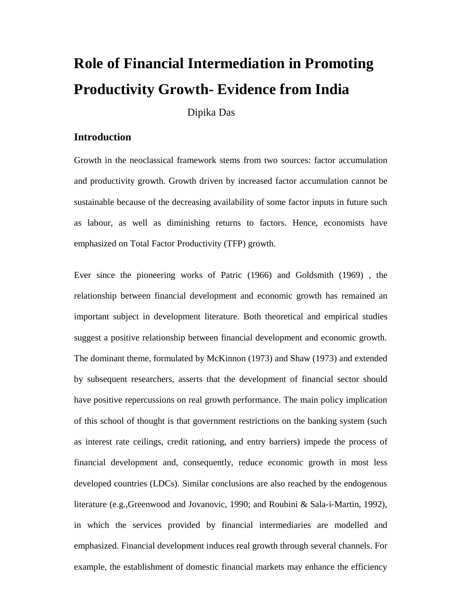# **Role of Financial Intermediation in Promoting Productivity Growth- Evidence from India**

Dipika Das

# **Introduction**

Growth in the neoclassical framework stems from two sources: factor accumulation and productivity growth. Growth driven by increased factor accumulation cannot be sustainable because of the decreasing availability of some factor inputs in future such as labour, as well as diminishing returns to factors. Hence, economists have emphasized on Total Factor Productivity (TFP) growth.

Ever since the pioneering works of Patric (1966) and Goldsmith (1969) , the relationship between financial development and economic growth has remained an important subject in development literature. Both theoretical and empirical studies suggest a positive relationship between financial development and economic growth. The dominant theme, formulated by McKinnon (1973) and Shaw (1973) and extended by subsequent researchers, asserts that the development of financial sector should have positive repercussions on real growth performance. The main policy implication of this school of thought is that government restrictions on the banking system (such as interest rate ceilings, credit rationing, and entry barriers) impede the process of financial development and, consequently, reduce economic growth in most less developed countries (LDCs). Similar conclusions are also reached by the endogenous literature (e.g.,Greenwood and Jovanovic, 1990; and Roubini & Sala-i-Martin, 1992), in which the services provided by financial intermediaries are modelled and emphasized. Financial development induces real growth through several channels. For example, the establishment of domestic financial markets may enhance the efficiency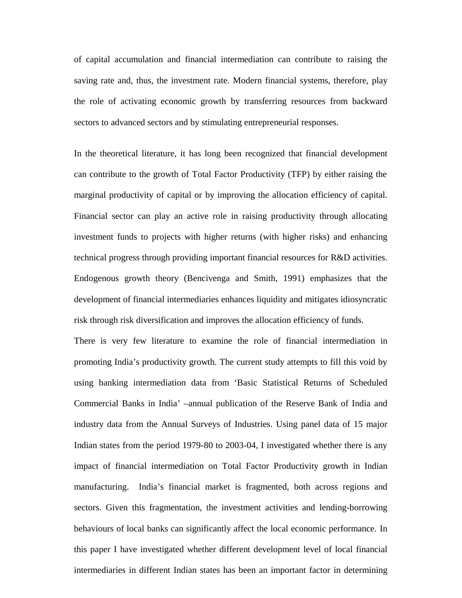of capital accumulation and financial intermediation can contribute to raising the saving rate and, thus, the investment rate. Modern financial systems, therefore, play the role of activating economic growth by transferring resources from backward sectors to advanced sectors and by stimulating entrepreneurial responses.

In the theoretical literature, it has long been recognized that financial development can contribute to the growth of Total Factor Productivity (TFP) by either raising the marginal productivity of capital or by improving the allocation efficiency of capital. Financial sector can play an active role in raising productivity through allocating investment funds to projects with higher returns (with higher risks) and enhancing technical progress through providing important financial resources for R&D activities. Endogenous growth theory (Bencivenga and Smith, 1991) emphasizes that the development of financial intermediaries enhances liquidity and mitigates idiosyncratic risk through risk diversification and improves the allocation efficiency of funds.

There is very few literature to examine the role of financial intermediation in promoting India's productivity growth. The current study attempts to fill this void by using banking intermediation data from 'Basic Statistical Returns of Scheduled Commercial Banks in India'–annual publication of the Reserve Bank of India and industry data from the Annual Surveys of Industries. Using panel data of 15 major Indian states from the period 1979-80 to 2003-04, I investigated whether there is any impact of financial intermediation on Total Factor Productivity growth in Indian manufacturing. India's financial market is fragmented, both across regions and sectors. Given this fragmentation, the investment activities and lending-borrowing behaviours of local banks can significantly affect the local economic performance. In this paper I have investigated whether different development level of local financial intermediaries in different Indian states has been an important factor in determining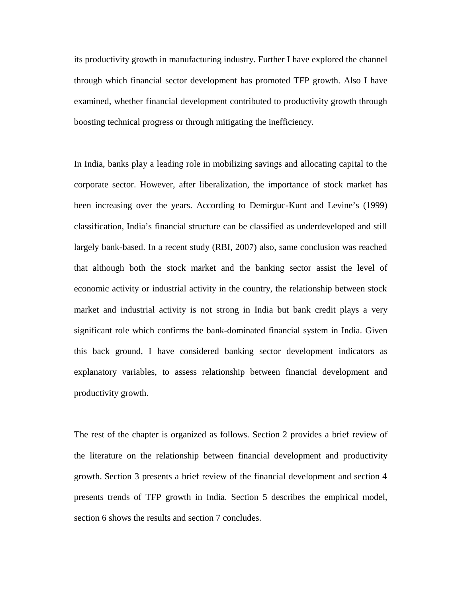its productivity growth in manufacturing industry. Further I have explored the channel through which financial sector development has promoted TFP growth. Also I have examined, whether financial development contributed to productivity growth through boosting technical progress or through mitigating the inefficiency.

In India, banks play a leading role in mobilizing savings and allocating capital to the corporate sector. However, after liberalization, the importance of stock market has been increasing over the years. According to Demirguc-Kunt and Levine's (1999) classification, India's financial structure can be classified as underdeveloped and still largely bank-based. In a recent study (RBI, 2007) also, same conclusion was reached that although both the stock market and the banking sector assist the level of economic activity or industrial activity in the country, the relationship between stock market and industrial activity is not strong in India but bank credit plays a very significant role which confirms the bank-dominated financial system in India. Given this back ground, I have considered banking sector development indicators as explanatory variables, to assess relationship between financial development and productivity growth.

The rest of the chapter is organized as follows. Section 2 provides a brief review of the literature on the relationship between financial development and productivity growth. Section 3 presents a brief review of the financial development and section 4 presents trends of TFP growth in India. Section 5 describes the empirical model, section 6 shows the results and section 7 concludes.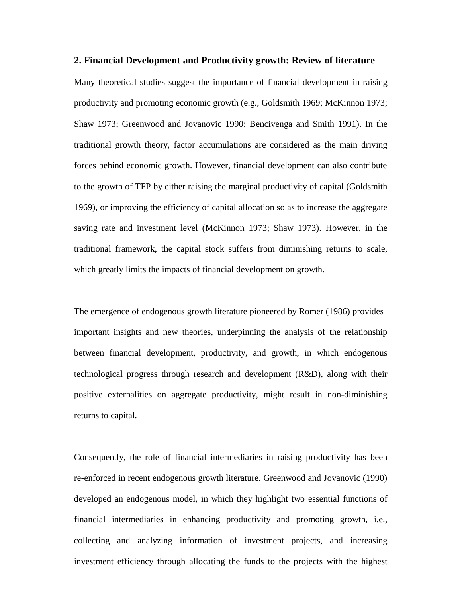#### **2. Financial Development and Productivity growth: Review of literature**

Many theoretical studies suggest the importance of financial development in raising productivity and promoting economic growth (e.g., Goldsmith 1969; McKinnon 1973; Shaw 1973; Greenwood and Jovanovic 1990; Bencivenga and Smith 1991). In the traditional growth theory, factor accumulations are considered as the main driving forces behind economic growth. However, financial development can also contribute to the growth of TFP by either raising the marginal productivity of capital (Goldsmith 1969), or improving the efficiency of capital allocation so as to increase the aggregate saving rate and investment level (McKinnon 1973; Shaw 1973). However, in the traditional framework, the capital stock suffers from diminishing returns to scale, which greatly limits the impacts of financial development on growth.

The emergence of endogenous growth literature pioneered by Romer (1986) provides important insights and new theories, underpinning the analysis of the relationship between financial development, productivity, and growth, in which endogenous technological progress through research and development (R&D), along with their positive externalities on aggregate productivity, might result in non-diminishing returns to capital.

Consequently, the role of financial intermediaries in raising productivity has been re-enforced in recent endogenous growth literature. Greenwood and Jovanovic (1990) developed an endogenous model, in which they highlight two essential functions of financial intermediaries in enhancing productivity and promoting growth, i.e., collecting and analyzing information of investment projects, and increasing investment efficiency through allocating the funds to the projects with the highest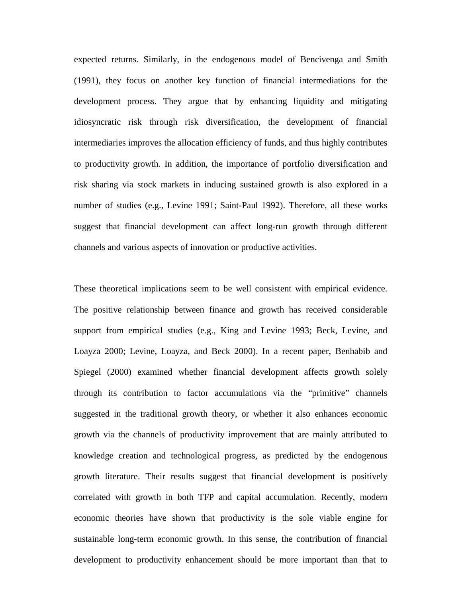expected returns. Similarly, in the endogenous model of Bencivenga and Smith (1991), they focus on another key function of financial intermediations for the development process. They argue that by enhancing liquidity and mitigating idiosyncratic risk through risk diversification, the development of financial intermediaries improves the allocation efficiency of funds, and thus highly contributes to productivity growth. In addition, the importance of portfolio diversification and risk sharing via stock markets in inducing sustained growth is also explored in a number of studies (e.g., Levine 1991; Saint-Paul 1992). Therefore, all these works suggest that financial development can affect long-run growth through different channels and various aspects of innovation or productive activities.

These theoretical implications seem to be well consistent with empirical evidence. The positive relationship between finance and growth has received considerable support from empirical studies (e.g., King and Levine 1993; Beck, Levine, and Loayza 2000; Levine, Loayza, and Beck 2000). In a recent paper, Benhabib and Spiegel (2000) examined whether financial development affects growth solely through its contribution to factor accumulations via the "primitive" channels suggested in the traditional growth theory, or whether it also enhances economic growth via the channels of productivity improvement that are mainly attributed to knowledge creation and technological progress, as predicted by the endogenous growth literature. Their results suggest that financial development is positively correlated with growth in both TFP and capital accumulation. Recently, modern economic theories have shown that productivity is the sole viable engine for sustainable long-term economic growth. In this sense, the contribution of financial development to productivity enhancement should be more important than that to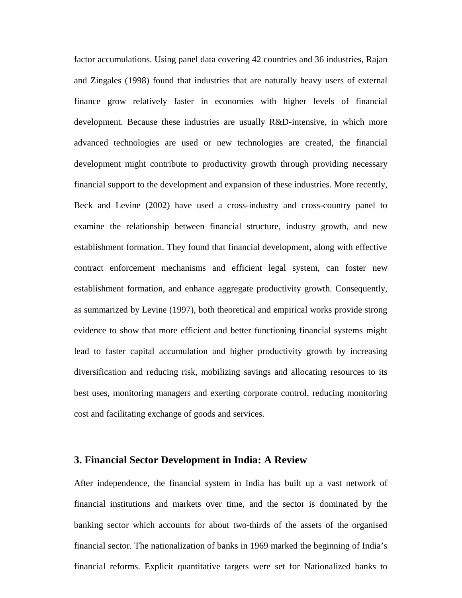factor accumulations. Using panel data covering 42 countries and 36 industries, Rajan and Zingales (1998) found that industries that are naturally heavy users of external finance grow relatively faster in economies with higher levels of financial development. Because these industries are usually R&D-intensive, in which more advanced technologies are used or new technologies are created, the financial development might contribute to productivity growth through providing necessary financial support to the development and expansion of these industries. More recently, Beck and Levine (2002) have used a cross-industry and cross-country panel to examine the relationship between financial structure, industry growth, and new establishment formation. They found that financial development, along with effective contract enforcement mechanisms and efficient legal system, can foster new establishment formation, and enhance aggregate productivity growth. Consequently, as summarized by Levine (1997), both theoretical and empirical works provide strong evidence to show that more efficient and better functioning financial systems might lead to faster capital accumulation and higher productivity growth by increasing diversification and reducing risk, mobilizing savings and allocating resources to its best uses, monitoring managers and exerting corporate control, reducing monitoring cost and facilitating exchange of goods and services.

#### **3. Financial Sector Development in India: A Review**

After independence, the financial system in India has built up a vast network of financial institutions and markets over time, and the sector is dominated by the banking sector which accounts for about two-thirds of the assets of the organised financial sector. The nationalization of banks in 1969 marked the beginning of India's financial reforms. Explicit quantitative targets were set for Nationalized banks to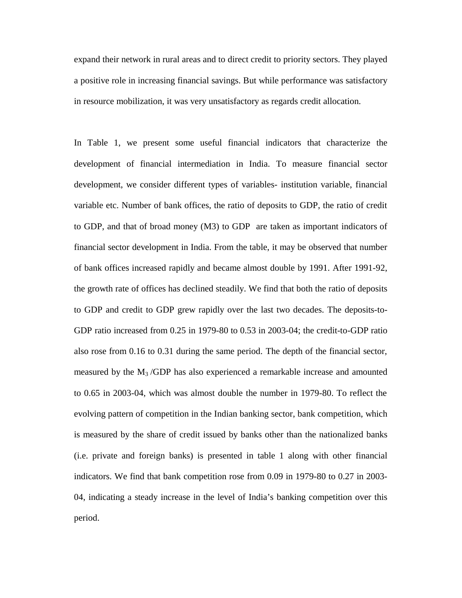expand their network in rural areas and to direct credit to priority sectors. They played a positive role in increasing financial savings. But while performance was satisfactory in resource mobilization, it was very unsatisfactory as regards credit allocation.

In Table 1, we present some useful financial indicators that characterize the development of financial intermediation in India. To measure financial sector development, we consider different types of variables- institution variable, financial variable etc. Number of bank offices, the ratio of deposits to GDP, the ratio of credit to GDP, and that of broad money (M3) to GDP are taken as important indicators of financial sector development in India. From the table, it may be observed that number of bank offices increased rapidly and became almost double by 1991. After 1991-92, the growth rate of offices has declined steadily. We find that both the ratio of deposits to GDP and credit to GDP grew rapidly over the last two decades. The deposits-to-GDP ratio increased from 0.25 in 1979-80 to 0.53 in 2003-04; the credit-to-GDP ratio also rose from 0.16 to 0.31 during the same period. The depth of the financial sector, measured by the M<sup>3</sup> /GDP has also experienced a remarkable increase and amounted to 0.65 in 2003-04, which was almost double the number in 1979-80. To reflect the evolving pattern of competition in the Indian banking sector, bank competition, which is measured by the share of credit issued by banks other than the nationalized banks (i.e. private and foreign banks) is presented in table 1 along with other financial indicators. We find that bank competition rose from 0.09 in 1979-80 to 0.27 in 2003- 04, indicating a steady increase in the level of India's banking competition over this period.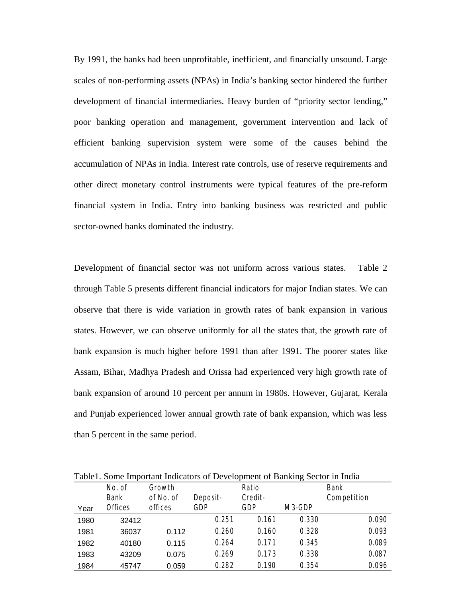By 1991, the banks had been unprofitable, inefficient, and financially unsound. Large scales of non-performing assets (NPAs) in India's banking sector hindered the further development of financial intermediaries. Heavy burden of "priority sector lending," poor banking operation and management, government intervention and lack of efficient banking supervision system were some of the causes behind the accumulation of NPAs in India. Interest rate controls, use of reserve requirements and other direct monetary control instruments were typical features of the pre-reform financial system in India. Entry into banking business was restricted and public sector-owned banks dominated the industry.

Development of financial sector was not uniform across various states. Table 2 through Table 5 presents different financial indicators for major Indian states. We can observe that there is wide variation in growth rates of bank expansion in various states. However, we can observe uniformly for all the states that, the growth rate of bank expansion is much higher before 1991 than after 1991. The poorer states like Assam, Bihar, Madhya Pradesh and Orissa had experienced very high growth rate of bank expansion of around 10 percent per annum in 1980s. However, Gujarat, Kerala and Punjab experienced lower annual growth rate of bank expansion, which was less than 5 percent in the same period.

|      |                   |                      | Table 1. Some Important Indicators of Development of Banking Sector in India |         |                    |               |
|------|-------------------|----------------------|------------------------------------------------------------------------------|---------|--------------------|---------------|
|      | $\mathbb N$ o. of | Grow th              |                                                                              | R atio  |                    | Bank          |
|      | <b>Bank</b>       | $of\mathbb{N}$ o. of | Deposit-                                                                     | Credit- |                    | C om petition |
| Year | $\theta$ ffices   | offices              | GDP                                                                          | GDP     | M <sub>3</sub> GDP |               |
| 1980 | 32412             |                      | 0.251                                                                        | 0.161   | 0.330              | 0.090         |
| 1981 | 36037             | 0.112                | 0.260                                                                        | 0.160   | 0.328              | 0.093         |
| 1982 | 40180             | 0.115                | 0.264                                                                        | 0.171   | 0.345              | 0.089         |
| 1983 | 43209             | 0.075                | 0.269                                                                        | 0.173   | 0.338              | 0.087         |
| 1984 | 45747             | 0.059                | 0.282                                                                        | 0.190   | 0.354              | 0.096         |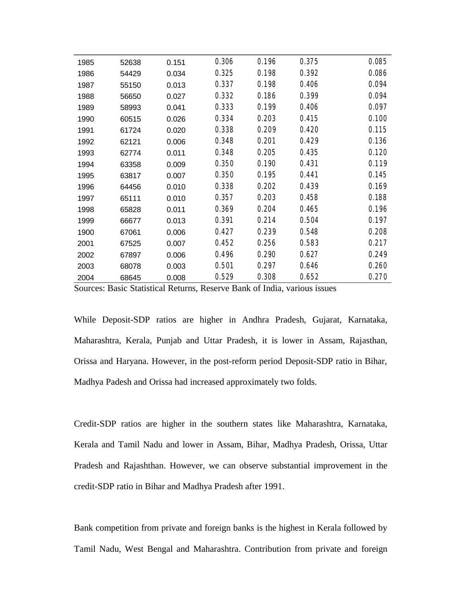| 0.306<br>0.196<br>0.375<br>0.151<br>1985<br>52638 | 0.085 |
|---------------------------------------------------|-------|
|                                                   |       |
| 0.392<br>0.325<br>0.198<br>1986<br>54429<br>0.034 | 0.086 |
| 0.337<br>0.198<br>0.406<br>55150<br>0.013<br>1987 | 0.094 |
| 0.332<br>0.186<br>0.399<br>0.027<br>1988<br>56650 | 0.094 |
| 0.333<br>0.199<br>0.406<br>1989<br>58993<br>0.041 | 0.097 |
| 0.334<br>0.203<br>0.415<br>1990<br>60515<br>0.026 | 0.100 |
| 0.338<br>0.209<br>0.420<br>1991<br>61724<br>0.020 | 0.115 |
| 0.201<br>0.348<br>0.429<br>0.006<br>1992<br>62121 | 0.136 |
| 0.348<br>0.205<br>0.435<br>0.011<br>1993<br>62774 | 0.120 |
| 0.190<br>0.350<br>0.431<br>0.009<br>1994<br>63358 | 0.119 |
| 0.350<br>0.195<br>0.441<br>0.007<br>1995<br>63817 | 0.145 |
| 0.338<br>0.202<br>0.439<br>1996<br>64456<br>0.010 | 0.169 |
| 0.357<br>0.203<br>0.458<br>1997<br>65111<br>0.010 | 0.188 |
| 0.204<br>0.369<br>0.465<br>1998<br>65828<br>0.011 | 0.196 |
| 0.391<br>0.214<br>0.504<br>1999<br>66677<br>0.013 | 0.197 |
| 0.239<br>0.427<br>0.548<br>0.006<br>1900<br>67061 | 0.208 |
| 0.452<br>0.256<br>0.583<br>2001<br>0.007<br>67525 | 0.217 |
| 0.290<br>0.496<br>0.627<br>0.006<br>2002<br>67897 | 0.249 |
| 0.501<br>0.297<br>0.646<br>0.003<br>2003<br>68078 | 0.260 |
| 0.529<br>0.308<br>0.652<br>0.008<br>2004<br>68645 | 0.270 |

Sources: Basic Statistical Returns, Reserve Bank of India, various issues

While Deposit-SDP ratios are higher in Andhra Pradesh, Gujarat, Karnataka, Maharashtra, Kerala, Punjab and Uttar Pradesh, it is lower in Assam, Rajasthan, Orissa and Haryana. However, in the post-reform period Deposit-SDP ratio in Bihar, Madhya Padesh and Orissa had increased approximately two folds.

Credit-SDP ratios are higher in the southern states like Maharashtra, Karnataka, Kerala and Tamil Nadu and lower in Assam, Bihar, Madhya Pradesh, Orissa, Uttar Pradesh and Rajashthan. However, we can observe substantial improvement in the credit-SDP ratio in Bihar and Madhya Pradesh after 1991.

Bank competition from private and foreign banks is the highest in Kerala followed by Tamil Nadu, West Bengal and Maharashtra. Contribution from private and foreign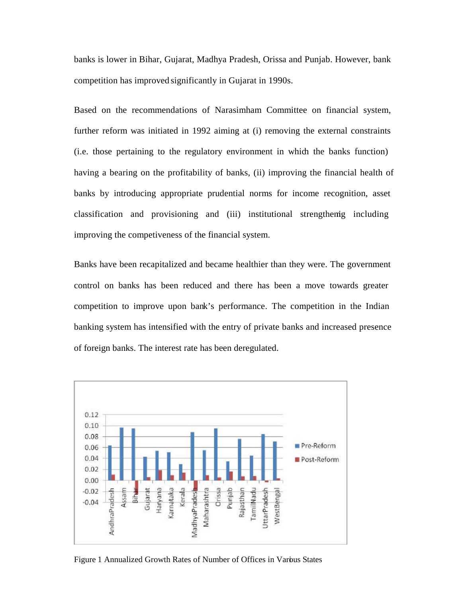banks is lower in Bihar, Gujarat, Madhya Pradesh, Orissa and Punjab. However, bank competition has improved significantly in Gujarat in 1990s.

Based on the recommendations of Narasimham Committee on financial system, further reform was initiated in 1992 aiming at (i) removing the external constraints (i.e. those pertaining to the regulatory environment in which the banks function) having a bearing on the profitability of banks, (ii) improving the financial health of banks by introducing appropriate prudential norms for income recognition, asset  $classification$  and provisioning and (iii) institutional strengthenig including improving the competiveness of the financial system.

Banks have been recapitalized and became healthier than they were. The government control on banks has been reduced and there has been a move towards greater competition to improve upon bank's performance. The competition in the Indian banking system has intensified with the entry of private banks and increased presence of foreign banks. The interest rate has been deregulated.



Figure 1 Annualized Growth Rates of Number of Offices in Various States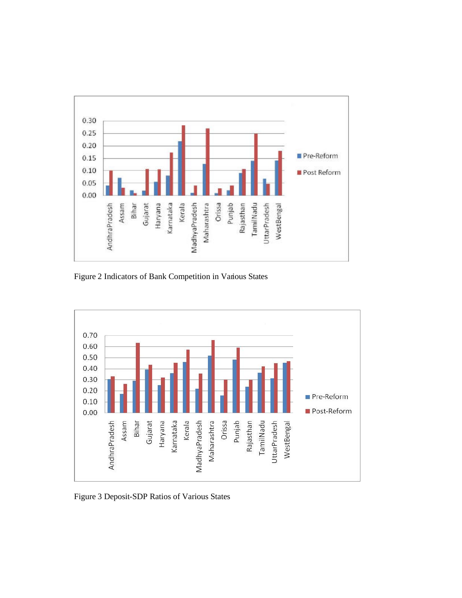

Figure 2 Indicators of Bank Competition in Various States



Figure 3 Deposit-SDP Ratios of Various States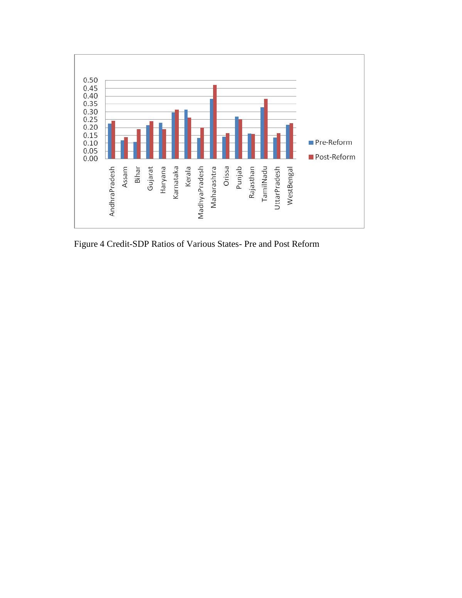

Figure 4 Credit-SDP Ratios of Various States- Pre and Post Reform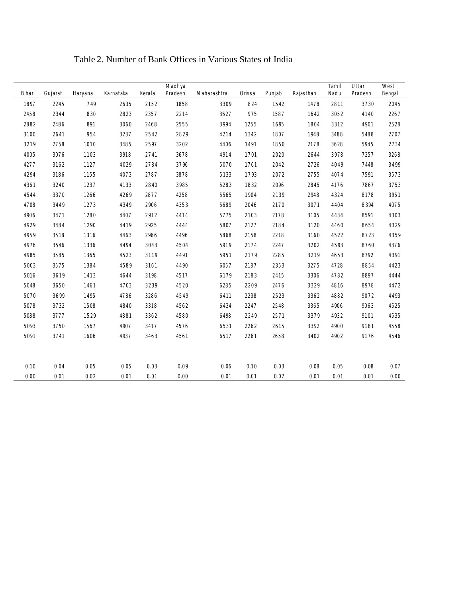| Bihar | Gujarat | Haryana | Kamataka | Kerala | M adhya<br>P radesh | II charashtra | l rissa | P unjab | R ajasthan | I am il<br>II adu | II ttar<br>Pradesh | W est<br>Bengal |
|-------|---------|---------|----------|--------|---------------------|---------------|---------|---------|------------|-------------------|--------------------|-----------------|
| 1897  | 2245    | 749     | 2635     | 2152   | 1858                | 3309          | 824     | 1542    | 1478       | 2811              | 3730               | 2045            |
| 2458  | 2344    | 830     | 2823     | 2357   | 2214                | 3627          | 975     | 1587    | 1642       | 3052              | 4140               | 2267            |
| 2882  | 2486    | 891     | 3060     | 2468   | 2555                | 3994          | 1255    | 1695    | 1804       | 3312              | 4901               | 2528            |
| 3100  | 2641    | 954     | 3237     | 2542   | 2829                | 4214          | 1342    | 1807    | 1948       | 3488              | 5488               | 2707            |
| 3219  | 2758    | 1010    | 3485     | 2597   | 3202                | 4406          | 1491    | 1850    | 2178       | 3628              | 5945               | 2734            |
| 4005  | 3076    | 1103    | 3918     | 2741   | 3678                | 4914          | 1701    | 2020    | 2644       | 3978              | 7257               | 3268            |
| 4277  | 3162    | 1127    | 4029     | 2784   | 3796                | 5070          | 1761    | 2042    | 2726       | 4049              | 7448               | 3499            |
| 4294  | 3186    | 1155    | 4073     | 2787   | 3878                | 5133          | 1793    | 2072    | 2755       | 4074              | 7591               | 3573            |
| 4361  | 3240    | 1237    | 4133     | 2840   | 3985                | 5283          | 1832    | 2096    | 2845       | 4176              | 7867               | 3753            |
| 4544  | 3370    | 1266    | 4269     | 2877   | 4258                | 5565          | 1904    | 2139    | 2948       | 4324              | 8178               | 3961            |
| 4708  | 3449    | 1273    | 4349     | 2906   | 4353                | 5689          | 2046    | 2170    | 3071       | 4404              | 8394               | 4075            |
| 4906  | 3471    | 1280    | 4407     | 2912   | 4414                | 5775          | 2103    | 2178    | 3105       | 4434              | 8591               | 4303            |
| 4929  | 3484    | 1290    | 4419     | 2925   | 4444                | 5807          | 2127    | 2184    | 3120       | 4460              | 8654               | 4329            |
| 4959  | 3518    | 1316    | 4463     | 2966   | 4496                | 5868          | 2158    | 2218    | 3160       | 4522              | 8723               | 4359            |
| 4976  | 3546    | 1336    | 4494     | 3043   | 4504                | 5919          | 2174    | 2247    | 3202       | 4593              | 8760               | 4376            |
| 4985  | 3585    | 1365    | 4523     | 3119   | 4491                | 5951          | 2179    | 2285    | 3219       | 4653              | 8792               | 4391            |
| 5003  | 3575    | 1384    | 4589     | 3161   | 4490                | 6057          | 2187    | 2353    | 3275       | 4728              | 8854               | 4423            |
| 5016  | 3619    | 1413    | 4644     | 3198   | 4517                | 6179          | 2183    | 2415    | 3306       | 4782              | 8897               | 4444            |
| 5048  | 3650    | 1461    | 4703     | 3239   | 4520                | 6285          | 2209    | 2476    | 3329       | 4816              | 8978               | 4472            |
| 5070  | 3699    | 1495    | 4786     | 3286   | 4549                | 6411          | 2238    | 2523    | 3362       | 4882              | 9072               | 4493            |
| 5078  | 3732    | 1508    | 4840     | 3318   | 4562                | 6434          | 2247    | 2548    | 3365       | 4906              | 9063               | 4525            |
| 5088  | 3777    | 1529    | 4881     | 3362   | 4580                | 6498          | 2249    | 2571    | 3379       | 4932              | 9101               | 4535            |
| 5093  | 3750    | 1567    | 4907     | 3417   | 4576                | 6531          | 2262    | 2615    | 3392       | 4900              | 9181               | 4558            |
| 5091  | 3741    | 1606    | 4937     | 3463   | 4561                | 6517          | 2261    | 2658    | 3402       | 4902              | 9176               | 4546            |
|       |         |         |          |        |                     |               |         |         |            |                   |                    |                 |
| 0.10  | 0.04    | 0.05    | 0.05     | 0.03   | 0.09                | 0.06          | 0.10    | 0.03    | 0.08       | 0.05              | 0.08               | 0.07            |
| 0.00  | 0.01    | 0.02    | 0.01     | 0.01   | 0.00                | 0.01          | 0.01    | 0.02    | 0.01       | 0.01              | 0.01               | 0.00            |

# Table 2. Number of Bank Offices in Various States of India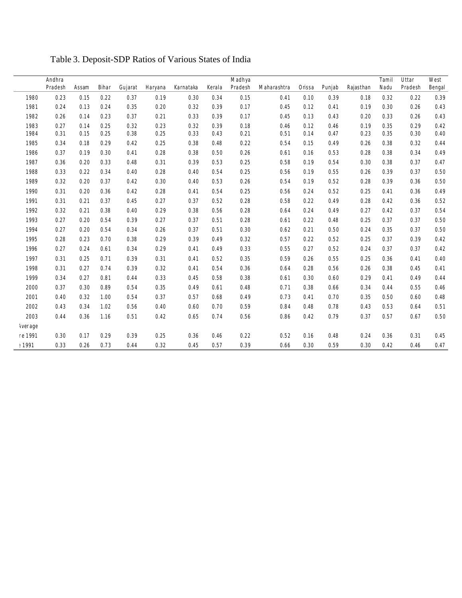|              | Andhra<br>P radesh | Assam | Bihar | Gujarat | Haryana | Kamataka | Kerala | M adhya<br>Pradesh | Il aharashtra I rissa l'unjab |      |      | R ajasthan | I am il<br>Il adu | II ttar<br>P radesh | $W$ est<br>Bengal |
|--------------|--------------------|-------|-------|---------|---------|----------|--------|--------------------|-------------------------------|------|------|------------|-------------------|---------------------|-------------------|
| 1980         | 0.23               | 0.15  | 0.22  | 0.37    | 0.19    | 0.30     | 0.34   | 0.15               | 0.41                          | 0.10 | 0.39 | 0.18       | 0.32              | 0.22                | 0.39              |
| 1981         | 0.24               | 0.13  | 0.24  | 0.35    | 0.20    | 0.32     | 0.39   | 0.17               | 0.45                          | 0.12 | 0.41 | 0.19       | 0.30              | 0.26                | 0.43              |
| 1982         | 0.26               | 0.14  | 0.23  | 0.37    | 0.21    | 0.33     | 0.39   | 0.17               | 0.45                          | 0.13 | 0.43 | 0.20       | 0.33              | 0.26                | 0.43              |
| 1983         | 0.27               | 0.14  | 0.25  | 0.32    | 0.23    | 0.32     | 0.39   | 0.18               | 0.46                          | 0.12 | 0.46 | 0.19       | 0.35              | 0.29                | 0.42              |
| 1984         | 0.31               | 0.15  | 0.25  | 0.38    | 0.25    | 0.33     | 0.43   | 0.21               | 0.51                          | 0.14 | 0.47 | 0.23       | 0.35              | 0.30                | 0.40              |
| 1985         | 0.34               | 0.18  | 0.29  | 0.42    | 0.25    | 0.38     | 0.48   | 0.22               | 0.54                          | 0.15 | 0.49 | 0.26       | 0.38              | 0.32                | 0.44              |
| 1986         | 0.37               | 0.19  | 0.30  | 0.41    | 0.28    | 0.38     | 0.50   | 0.26               | 0.61                          | 0.16 | 0.53 | 0.28       | 0.38              | 0.34                | 0.49              |
| 1987         | 0.36               | 0.20  | 0.33  | 0.48    | 0.31    | 0.39     | 0.53   | 0.25               | 0.58                          | 0.19 | 0.54 | 0.30       | 0.38              | 0.37                | 0.47              |
| 1988         | 0.33               | 0.22  | 0.34  | 0.40    | 0.28    | 0.40     | 0.54   | 0.25               | 0.56                          | 0.19 | 0.55 | 0.26       | 0.39              | 0.37                | 0.50              |
| 1989         | 0.32               | 0.20  | 0.37  | 0.42    | 0.30    | 0.40     | 0.53   | 0.26               | 0.54                          | 0.19 | 0.52 | 0.28       | 0.39              | 0.36                | 0.50              |
| 1990         | 0.31               | 0.20  | 0.36  | 0.42    | 0.28    | 0.41     | 0.54   | 0.25               | 0.56                          | 0.24 | 0.52 | 0.25       | 0.41              | 0.36                | 0.49              |
| 1991         | 0.31               | 0.21  | 0.37  | 0.45    | 0.27    | 0.37     | 0.52   | 0.28               | 0.58                          | 0.22 | 0.49 | 0.28       | 0.42              | 0.36                | 0.52              |
| 1992         | 0.32               | 0.21  | 0.38  | 0.40    | 0.29    | 0.38     | 0.56   | 0.28               | 0.64                          | 0.24 | 0.49 | 0.27       | 0.42              | 0.37                | 0.54              |
| 1993         | 0.27               | 0.20  | 0.54  | 0.39    | 0.27    | 0.37     | 0.51   | 0.28               | 0.61                          | 0.22 | 0.48 | 0.25       | 0.37              | 0.37                | 0.50              |
| 1994         | 0.27               | 0.20  | 0.54  | 0.34    | 0.26    | 0.37     | 0.51   | 0.30               | 0.62                          | 0.21 | 0.50 | 0.24       | 0.35              | 0.37                | 0.50              |
| 1995         | 0.28               | 0.23  | 0.70  | 0.38    | 0.29    | 0.39     | 0.49   | 0.32               | 0.57                          | 0.22 | 0.52 | 0.25       | 0.37              | 0.39                | 0.42              |
| 1996         | 0.27               | 0.24  | 0.61  | 0.34    | 0.29    | 0.41     | 0.49   | 0.33               | 0.55                          | 0.27 | 0.52 | 0.24       | 0.37              | 0.37                | 0.42              |
| 1997         | 0.31               | 0.25  | 0.71  | 0.39    | 0.31    | 0.41     | 0.52   | 0.35               | 0.59                          | 0.26 | 0.55 | 0.25       | 0.36              | 0.41                | 0.40              |
| 1998         | 0.31               | 0.27  | 0.74  | 0.39    | 0.32    | 0.41     | 0.54   | 0.36               | 0.64                          | 0.28 | 0.56 | 0.26       | 0.38              | 0.45                | 0.41              |
| 1999         | 0.34               | 0.27  | 0.81  | 0.44    | 0.33    | 0.45     | 0.58   | 0.38               | 0.61                          | 0.30 | 0.60 | 0.29       | 0.41              | 0.49                | 0.44              |
| 2000         | 0.37               | 0.30  | 0.89  | 0.54    | 0.35    | 0.49     | 0.61   | 0.48               | 0.71                          | 0.38 | 0.66 | 0.34       | 0.44              | 0.55                | 0.46              |
| 2001         | 0.40               | 0.32  | 1.00  | 0.54    | 0.37    | 0.57     | 0.68   | 0.49               | 0.73                          | 0.41 | 0.70 | 0.35       | 0.50              | 0.60                | 0.48              |
| 2002         | 0.43               | 0.34  | 1.02  | 0.56    | 0.40    | 0.60     | 0.70   | 0.59               | 0.84                          | 0.48 | 0.78 | 0.43       | 0.53              | 0.64                | 0.51              |
| 2003         | 0.44               | 0.36  | 1.16  | 0.51    | 0.42    | 0.65     | 0.74   | 0.56               | 0.86                          | 0.42 | 0.79 | 0.37       | 0.57              | 0.67                | 0.50              |
| lverage      |                    |       |       |         |         |          |        |                    |                               |      |      |            |                   |                     |                   |
| re1991       | 0.30               | 0.17  | 0.29  | 0.39    | 0.25    | 0.36     | 0.46   | 0.22               | 0.52                          | 0.16 | 0.48 | 0.24       | 0.36              | 0.31                | 0.45              |
| <b>91991</b> | 0.33               | 0.26  | 0.73  | 0.44    | 0.32    | 0.45     | 0.57   | 0.39               | 0.66                          | 0.30 | 0.59 | 0.30       | 0.42              | 0.46                | 0.47              |
|              |                    |       |       |         |         |          |        |                    |                               |      |      |            |                   |                     |                   |

Table 3. Deposit-SDP Ratios of Various States of India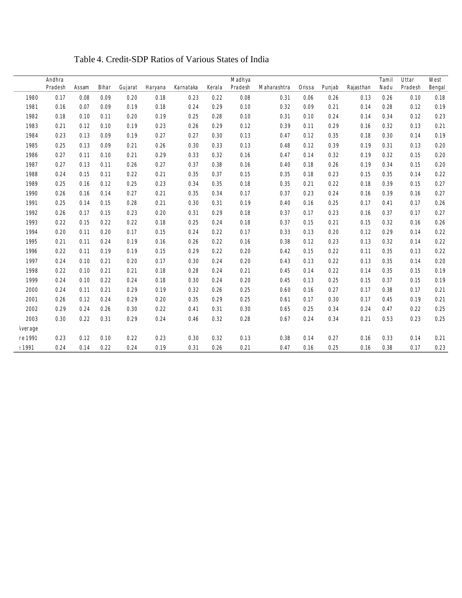|          | Andhra   |       |       |         |         |          |        | M adhya |               |         |        |            | Iamil | $\mathsf{U}$ ttar | $W$ est |
|----------|----------|-------|-------|---------|---------|----------|--------|---------|---------------|---------|--------|------------|-------|-------------------|---------|
|          | P radesh | Assam | Bihar | Gujarat | Haryana | Kamataka | Kerala | Pradesh | II charashtra | l rissa | Punjab | R ajasthan | N adu | P radesh          | Bengal  |
| 1980     | 0.17     | 0.08  | 0.09  | 0.20    | 0.18    | 0.23     | 0.22   | 0.08    | 0.31          | 0.06    | 0.26   | 0.13       | 0.26  | 0.10              | 0.18    |
| 1981     | 0.16     | 0.07  | 0.09  | 0.19    | 0.18    | 0.24     | 0.29   | 0.10    | 0.32          | 0.09    | 0.21   | 0.14       | 0.28  | 0.12              | 0.19    |
| 1982     | 0.18     | 0.10  | 0.11  | 0.20    | 0.19    | 0.25     | 0.28   | 0.10    | 0.31          | 0.10    | 0.24   | 0.14       | 0.34  | 0.12              | 0.23    |
| 1983     | 0.21     | 0.12  | 0.10  | 0.19    | 0.23    | 0.26     | 0.29   | 0.12    | 0.39          | 0.11    | 0.29   | 0.16       | 0.32  | 0.13              | 0.21    |
| 1984     | 0.23     | 0.13  | 0.09  | 0.19    | 0.27    | 0.27     | 0.30   | 0.13    | 0.47          | 0.12    | 0.35   | 0.18       | 0.30  | 0.14              | 0.19    |
| 1985     | 0.25     | 0.13  | 0.09  | 0.21    | 0.26    | 0.30     | 0.33   | 0.13    | 0.48          | 0.12    | 0.39   | 0.19       | 0.31  | 0.13              | 0.20    |
| 1986     | 0.27     | 0.11  | 0.10  | 0.21    | 0.29    | 0.33     | 0.32   | 0.16    | 0.47          | 0.14    | 0.32   | 0.19       | 0.32  | 0.15              | 0.20    |
| 1987     | 0.27     | 0.13  | 0.11  | 0.26    | 0.27    | 0.37     | 0.38   | 0.16    | 0.40          | 0.18    | 0.26   | 0.19       | 0.34  | 0.15              | 0.20    |
| 1988     | 0.24     | 0.15  | 0.11  | 0.22    | 0.21    | 0.35     | 0.37   | 0.15    | 0.35          | 0.18    | 0.23   | 0.15       | 0.35  | 0.14              | 0.22    |
| 1989     | 0.25     | 0.16  | 0.12  | 0.25    | 0.23    | 0.34     | 0.35   | 0.18    | 0.35          | 0.21    | 0.22   | 0.18       | 0.39  | 0.15              | 0.27    |
| 1990     | 0.26     | 0.16  | 0.14  | 0.27    | 0.21    | 0.35     | 0.34   | 0.17    | 0.37          | 0.23    | 0.24   | 0.16       | 0.39  | 0.16              | 0.27    |
| 1991     | 0.25     | 0.14  | 0.15  | 0.28    | 0.21    | 0.30     | 0.31   | 0.19    | 0.40          | 0.16    | 0.25   | 0.17       | 0.41  | 0.17              | 0.26    |
| 1992     | 0.26     | 0.17  | 0.15  | 0.23    | 0.20    | 0.31     | 0.29   | 0.18    | 0.37          | 0.17    | 0.23   | 0.16       | 0.37  | 0.17              | 0.27    |
| 1993     | 0.22     | 0.15  | 0.22  | 0.22    | 0.18    | 0.25     | 0.24   | 0.18    | 0.37          | 0.15    | 0.21   | 0.15       | 0.32  | 0.16              | 0.26    |
| 1994     | 0.20     | 0.11  | 0.20  | 0.17    | 0.15    | 0.24     | 0.22   | 0.17    | 0.33          | 0.13    | 0.20   | 0.12       | 0.29  | 0.14              | 0.22    |
| 1995     | 0.21     | 0.11  | 0.24  | 0.19    | 0.16    | 0.26     | 0.22   | 0.16    | 0.38          | 0.12    | 0.23   | 0.13       | 0.32  | 0.14              | 0.22    |
| 1996     | 0.22     | 0.11  | 0.19  | 0.19    | 0.15    | 0.29     | 0.22   | 0.20    | 0.42          | 0.15    | 0.22   | 0.11       | 0.35  | 0.13              | 0.22    |
| 1997     | 0.24     | 0.10  | 0.21  | 0.20    | 0.17    | 0.30     | 0.24   | 0.20    | 0.43          | 0.13    | 0.22   | 0.13       | 0.35  | 0.14              | 0.20    |
| 1998     | 0.22     | 0.10  | 0.21  | 0.21    | 0.18    | 0.28     | 0.24   | 0.21    | 0.45          | 0.14    | 0.22   | 0.14       | 0.35  | 0.15              | 0.19    |
| 1999     | 0.24     | 0.10  | 0.22  | 0.24    | 0.18    | 0.30     | 0.24   | 0.20    | 0.45          | 0.13    | 0.25   | 0.15       | 0.37  | 0.15              | 0.19    |
| 2000     | 0.24     | 0.11  | 0.21  | 0.29    | 0.19    | 0.32     | 0.26   | 0.25    | 0.60          | 0.16    | 0.27   | 0.17       | 0.38  | 0.17              | 0.21    |
| 2001     | 0.26     | 0.12  | 0.24  | 0.29    | 0.20    | 0.35     | 0.29   | 0.25    | 0.61          | 0.17    | 0.30   | 0.17       | 0.45  | 0.19              | 0.21    |
| 2002     | 0.29     | 0.24  | 0.26  | 0.30    | 0.22    | 0.41     | 0.31   | 0.30    | 0.65          | 0.25    | 0.34   | 0.24       | 0.47  | 0.22              | 0.25    |
| 2003     | 0.30     | 0.22  | 0.31  | 0.29    | 0.24    | 0.46     | 0.32   | 0.28    | 0.67          | 0.24    | 0.34   | 0.21       | 0.53  | 0.23              | 0.25    |
| lverage  |          |       |       |         |         |          |        |         |               |         |        |            |       |                   |         |
| re1991   | 0.23     | 0.12  | 0.10  | 0.22    | 0.23    | 0.30     | 0.32   | 0.13    | 0.38          | 0.14    | 0.27   | 0.16       | 0.33  | 0.14              | 0.21    |
| $= 1991$ | 0.24     | 0.14  | 0.22  | 0.24    | 0.19    | 0.31     | 0.26   | 0.21    | 0.47          | 0.16    | 0.25   | 0.16       | 0.38  | 0.17              | 0.23    |
|          |          |       |       |         |         |          |        |         |               |         |        |            |       |                   |         |

Table 4. Credit-SDP Ratios of Various States of India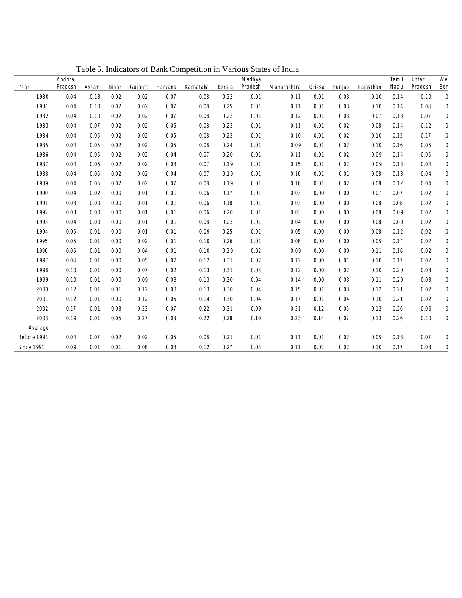|               |         | Andhra  |       |       |         |         |          |        | M adhya |               |         |        |            | I am il | II ttar | $W$ e        |
|---------------|---------|---------|-------|-------|---------|---------|----------|--------|---------|---------------|---------|--------|------------|---------|---------|--------------|
| Year          |         | Pradesh | Assam | Bihar | Gujarat | Haryana | Kamataka | Kerala | Pradesh | Il charashtra | l rissa | Punjab | k ajasthan | Il adu  | Pradesh | Ber          |
|               | 1980    | 0.04    | 0.13  | 0.02  | 0.02    | 0.07    | 0.08     | 0.23   | 0.01    | 0.11          | 0.01    | 0.03   | 0.10       | 0.14    | 0.10    | C            |
|               | 1981    | 0.04    | 0.10  | 0.02  | 0.02    | 0.07    | 0.08     | 0.25   | 0.01    | 0.11          | 0.01    | 0.03   | 0.10       | 0.14    | 0.08    | C            |
|               | 1982    | 0.04    | 0.10  | 0.02  | 0.02    | 0.07    | 0.08     | 0.22   | 0.01    | 0.12          | 0.01    | 0.03   | 0.07       | 0.13    | 0.07    | C            |
|               | 1983    | 0.04    | 0.07  | 0.02  | 0.02    | 0.06    | 0.08     | 0.23   | 0.01    | 0.11          | 0.01    | 0.02   | 0.08       | 0.14    | 0.12    | C            |
|               | 1984    | 0.04    | 0.05  | 0.02  | 0.02    | 0.05    | 0.08     | 0.23   | 0.01    | 0.10          | 0.01    | 0.02   | 0.10       | 0.15    | 0.17    | $\mathsf{C}$ |
|               | 1985    | 0.04    | 0.05  | 0.02  | 0.02    | 0.05    | 0.08     | 0.24   | 0.01    | 0.09          | 0.01    | 0.02   | 0.10       | 0.16    | 0.06    | C            |
|               | 1986    | 0.04    | 0.05  | 0.02  | 0.02    | 0.04    | 0.07     | 0.20   | 0.01    | 0.11          | 0.01    | 0.02   | 0.09       | 0.14    | 0.05    | C            |
|               | 1987    | 0.04    | 0.06  | 0.02  | 0.02    | 0.03    | 0.07     | 0.19   | 0.01    | 0.15          | 0.01    | 0.02   | 0.09       | 0.13    | 0.04    | C            |
|               | 1988    | 0.04    | 0.05  | 0.02  | 0.02    | 0.04    | 0.07     | 0.19   | 0.01    | 0.16          | 0.01    | 0.01   | 0.08       | 0.13    | 0.04    | C            |
|               | 1989    | 0.04    | 0.05  | 0.02  | 0.02    | 0.07    | 0.08     | 0.19   | 0.01    | 0.16          | 0.01    | 0.02   | 0.08       | 0.12    | 0.04    | C            |
|               | 1990    | 0.04    | 0.02  | 0.00  | 0.01    | 0.01    | 0.06     | 0.17   | 0.01    | 0.03          | 0.00    | 0.00   | 0.07       | 0.07    | 0.02    | C            |
|               | 1991    | 0.03    | 0.00  | 0.00  | 0.01    | 0.01    | 0.06     | 0.18   | 0.01    | 0.03          | 0.00    | 0.00   | 0.08       | 0.08    | 0.02    | $\mathsf{C}$ |
|               | 1992    | 0.03    | 0.00  | 0.00  | 0.01    | 0.01    | 0.06     | 0.20   | 0.01    | 0.03          | 0.00    | 0.00   | 0.08       | 0.09    | 0.02    | C            |
|               | 1993    | 0.04    | 0.00  | 0.00  | 0.01    | 0.01    | 0.08     | 0.23   | 0.01    | 0.04          | 0.00    | 0.00   | 0.08       | 0.09    | 0.02    | C            |
|               | 1994    | 0.05    | 0.01  | 0.00  | 0.01    | 0.01    | 0.09     | 0.25   | 0.01    | 0.05          | 0.00    | 0.00   | 0.08       | 0.12    | 0.02    | C            |
|               | 1995    | 0.06    | 0.01  | 0.00  | 0.02    | 0.01    | 0.10     | 0.26   | 0.01    | 0.08          | 0.00    | 0.00   | 0.09       | 0.14    | 0.02    | C            |
|               | 1996    | 0.06    | 0.01  | 0.00  | 0.04    | 0.01    | 0.10     | 0.29   | 0.02    | 0.09          | 0.00    | 0.00   | 0.11       | 0.16    | 0.02    | C            |
|               | 1997    | 0.08    | 0.01  | 0.00  | 0.05    | 0.02    | 0.12     | 0.31   | 0.02    | 0.12          | 0.00    | 0.01   | 0.10       | 0.17    | 0.02    | C            |
|               | 1998    | 0.10    | 0.01  | 0.00  | 0.07    | 0.02    | 0.13     | 0.31   | 0.03    | 0.12          | 0.00    | 0.02   | 0.10       | 0.20    | 0.03    | C            |
|               | 1999    | 0.10    | 0.01  | 0.00  | 0.09    | 0.03    | 0.13     | 0.30   | 0.04    | 0.14          | 0.00    | 0.03   | 0.11       | 0.20    | 0.03    | C            |
|               | 2000    | 0.12    | 0.01  | 0.01  | 0.12    | 0.03    | 0.13     | 0.30   | 0.04    | 0.15          | 0.01    | 0.03   | 0.12       | 0.21    | 0.02    | C            |
|               | 2001    | 0.12    | 0.01  | 0.00  | 0.12    | 0.06    | 0.14     | 0.30   | 0.04    | 0.17          | 0.01    | 0.04   | 0.10       | 0.21    | 0.02    | C            |
|               | 2002    | 0.17    | 0.01  | 0.03  | 0.23    | 0.07    | 0.22     | 0.31   | 0.09    | 0.21          | 0.12    | 0.06   | 0.12       | 0.26    | 0.09    | C            |
|               | 2003    | 0.19    | 0.01  | 0.05  | 0.27    | 0.08    | 0.22     | 0.28   | 0.10    | 0.23          | 0.14    | 0.07   | 0.13       | 0.26    | 0.10    | C            |
|               | Average |         |       |       |         |         |          |        |         |               |         |        |            |         |         |              |
| 3efore 1991   |         | 0.04    | 0.07  | 0.02  | 0.02    | 0.05    | 0.08     | 0.21   | 0.01    | 0.11          | 0.01    | 0.02   | 0.09       | 0.13    | 0.07    | C            |
| $i$ ince 1991 |         | 0.09    | 0.01  | 0.01  | 0.08    | 0.03    | 0.12     | 0.27   | 0.03    | 0.11          | 0.02    | 0.02   | 0.10       | 0.17    | 0.03    | C            |

Table 5. Indicators of Bank Competition in Various States of India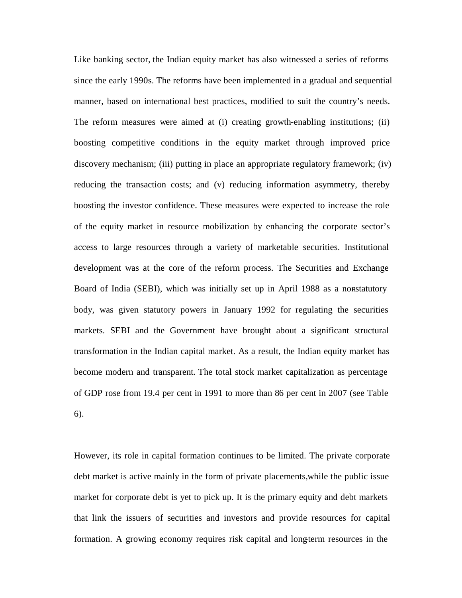Like banking sector, the Indian equity market has also witnessed a series of reforms since the early 1990s. The reforms have been implemented in a gradual and sequential manner, based on international best practices, modified to suit the country's needs. The reform measures were aimed at (i) creating growth-enabling institutions; (ii) boosting competitive conditions in the equity market through improved price discovery mechanism; (iii) putting in place an appropriate regulatory framework; (iv) reducing the transaction costs; and (v) reducing information asymmetry, thereby boosting the investor confidence. These measures were expected to increase the role of the equity market in resource mobilization by enhancing the corporate sector's access to large resources through a variety of marketable securities. Institutional development was at the core of the reform process. The Securities and Exchange Board of India (SEBI), which was initially set up in April 1988 as a nonstatutory body, was given statutory powers in January 1992 for regulating the securities markets. SEBI and the Government have brought about a significant structural transformation in the Indian capital market. As a result, the Indian equity market has become modern and transparent. The total stock market capitalization as percentage of GDP rose from 19.4 per cent in 1991 to more than 86 per cent in 2007 (see Table 6).

However, its role in capital formation continues to be limited. The private corporate debt market is active mainly in the form of private placements, while the public issue market for corporate debt is yet to pick up. It is the primary equity and debt markets that link the issuers of securities and investors and provide resources for capital formation. A growing economy requires risk capital and longterm resources in the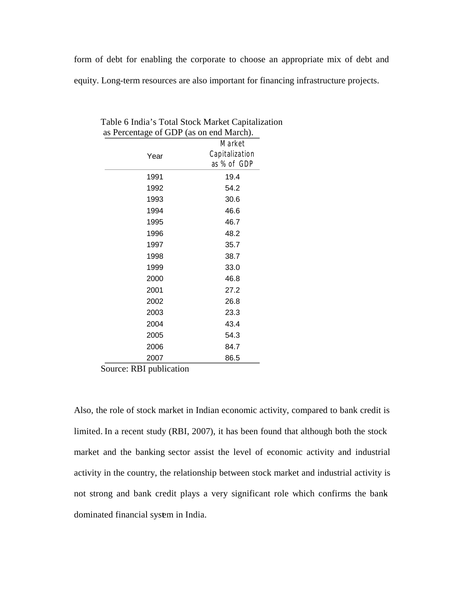form of debt for enabling the corporate to choose an appropriate mix of debt and equity. Long-term resources are also important for financing infrastructure projects.

| $\mu$ , is a corrected by $\mu$ and $\mu$ and $\mu$ and $\mu$ . |                |
|-----------------------------------------------------------------|----------------|
|                                                                 | M arket        |
| Year                                                            | Capitalization |
|                                                                 | as% of GDP     |
| 1991                                                            | 19.4           |
| 1992                                                            | 54.2           |
| 1993                                                            | 30.6           |
| 1994                                                            | 46.6           |
| 1995                                                            | 46.7           |
| 1996                                                            | 48.2           |
| 1997                                                            | 35.7           |
| 1998                                                            | 38.7           |
| 1999                                                            | 33.0           |
| 2000                                                            | 46.8           |
| 2001                                                            | 27.2           |
| 2002                                                            | 26.8           |
| 2003                                                            | 23.3           |
| 2004                                                            | 43.4           |
| 2005                                                            | 54.3           |
| 2006                                                            | 84.7           |
| 2007                                                            | 86.5           |

 Table 6 India's Total Stock Market Capitalization as Percentage of GDP (as on end March).

Source: RBI publication

Also, the role of stock market in Indian economic activity, compared to bank credit is limited. In a recent study (RBI, 2007), it has been found that although both the stock market and the banking sector assist the level of economic activity and industrial activity in the country, the relationship between stock market and industrial activity is not strong and bank credit plays a very significant role which confirms the bankdominated financial system in India.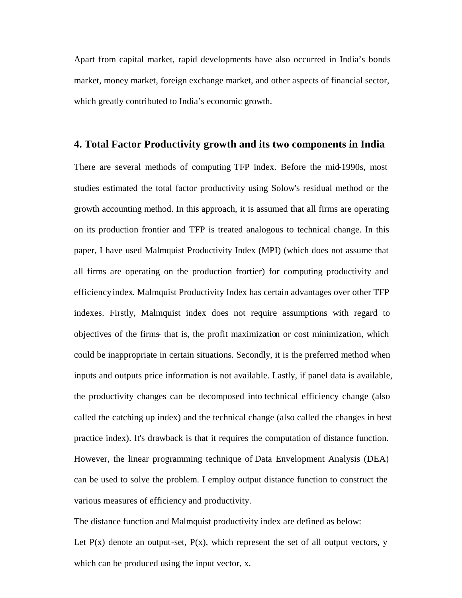Apart from capital market, rapid developments have also occurred in India's bonds market, money market, foreign exchange market, and other aspects of financial sector, which greatly contributed to India's economic growth.

#### **4. Total Factor Productivity growth and its two components in India**

There are several methods of computing TFP index. Before the mid-1990s, most studies estimated the total factor productivity using Solow's residual method or the growth accounting method. In this approach, it is assumed that all firms are operating on its production frontier and TFP is treated analogous to technical change. In this paper, I have used Malmquist Productivity Index (MPI) (which does not assume that all firms are operating on the production frontier) for computing productivity and efficiency index. Malmquist Productivity Index has certain advantages over other TFP indexes. Firstly, Malmquist index does not require assumptions with regard to objectives of the firms- that is, the profit maximization or cost minimization, which could be inappropriate in certain situations. Secondly, it is the preferred method when inputs and outputs price information is not available. Lastly, if panel data is available, the productivity changes can be decomposed into technical efficiency change (also called the catching up index) and the technical change (also called the changes in best practice index). It's drawback is that it requires the computation of distance function. However, the linear programming technique of Data Envelopment Analysis (DEA) can be used to solve the problem. I employ output distance function to construct the various measures of efficiency and productivity.

The distance function and Malmquist productivity index are defined as below: Let  $P(x)$  denote an output-set,  $P(x)$ , which represent the set of all output vectors, y which can be produced using the input vector, x.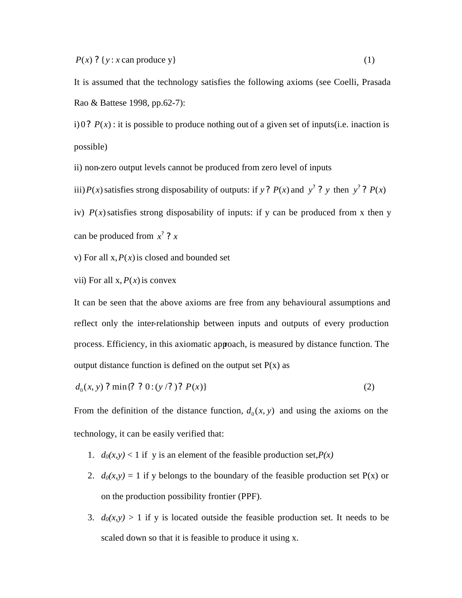$P(x)$  ? {*y* : *x* can produce y} (1)

It is assumed that the technology satisfies the following axioms (see Coelli, Prasada Rao & Battese 1998, pp.62-7):

i) 0?  $P(x)$ : it is possible to produce nothing out of a given set of inputs(i.e. inaction is possible)

ii) non-zero output levels cannot be produced from zero level of inputs

iii)*P*(*x*) satisfies strong disposability of outputs: if *y*? *P*(*x*) and *y*<sup>2</sup> ? *y* then *y*<sup>2</sup> ? *P*(*x*)

iv)  $P(x)$  satisfies strong disposability of inputs: if y can be produced from x then y can be produced from  $x^2$  ? x

v) For all  $x$ ,  $P(x)$  is closed and bounded set

vii) For all  $x, P(x)$  is convex

It can be seen that the above axioms are free from any behavioural assumptions and reflect only the inter-relationship between inputs and outputs of every production process. Efficiency, in this axiomatic approach, is measured by distance function. The output distance function is defined on the output set  $P(x)$  as

$$
d_0(x, y) ? \min\{? ? 0 : (y / ?)? P(x)\}\tag{2}
$$

From the definition of the distance function,  $d_0(x, y)$  and using the axioms on the technology, it can be easily verified that:

- 1.  $d_0(x, y) < 1$  if y is an element of the feasible production set,  $P(x)$
- 2.  $d_0(x, y) = 1$  if y belongs to the boundary of the feasible production set P(x) or on the production possibility frontier (PPF).
- 3.  $d_0(x, y) > 1$  if y is located outside the feasible production set. It needs to be scaled down so that it is feasible to produce it using x.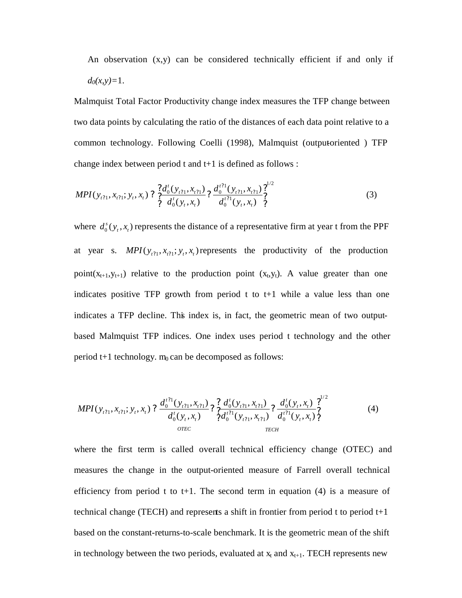An observation  $(x,y)$  can be considered technically efficient if and only if  $d_0(x, y) = 1$ .

Malmquist Total Factor Productivity change index measures the TFP change between two data points by calculating the ratio of the distances of each data point relative to a common technology. Following Coelli (1998), Malmquist (output-oriented ) TFP change index between period t and t+1 is defined as follows :

$$
MPI(y_{t21}, x_{t21}; y_t, x_t) ? \frac{?d_0^t(y_{t21}, x_{t21})}{?d_0^t(y_t, x_t) ?} ? \frac{d_0^{t21}(y_{t21}, x_{t21})}{d_0^{t21}(y_t, x_t) ?} ? \tag{3}
$$

where  $d_0^s(y_t, x_t)$  $d_0^s(y_t, x_t)$  represents the distance of a representative firm at year t from the PPF at year s.  $MPI(y_{i1}, x_{i1}; y_t, x_t)$  represents the productivity of the production point( $x_{t+1}$ ,  $y_{t+1}$ ) relative to the production point ( $x_t$ ,  $y_t$ ). A value greater than one indicates positive TFP growth from period  $t$  to  $t+1$  while a value less than one indicates a TFP decline. This index is, in fact, the geometric mean of two outputbased Malmquist TFP indices. One index uses period t technology and the other period  $t+1$  technology.  $m_0$  can be decomposed as follows:

$$
MPI(y_{t21}, x_{t21}; y_t, x_t) ? \frac{d_0^{t21}(y_{t21}, x_{t21})}{d_0^t(y_t, x_t)} ? \frac{d_0^t(y_{t21}, x_{t21})}{d_0^{t21}(y_{t21}, x_{t21})} ? \frac{d_0^t(y_t, x_t)}{d_0^{t21}(y_t, x_t)} ? \frac{d_0^{t21}(y_t, x_t)}{d_0^{t22}(y_t, x_t)} ?
$$
\n
$$
(4)
$$
\n
$$
OTEC
$$

where the first term is called overall technical efficiency change (OTEC) and measures the change in the output-oriented measure of Farrell overall technical efficiency from period t to t+1. The second term in equation  $(4)$  is a measure of technical change (TECH) and represents a shift in frontier from period t to period  $t+1$ based on the constant-returns-to-scale benchmark. It is the geometric mean of the shift in technology between the two periods, evaluated at  $x_t$  and  $x_{t+1}$ . TECH represents new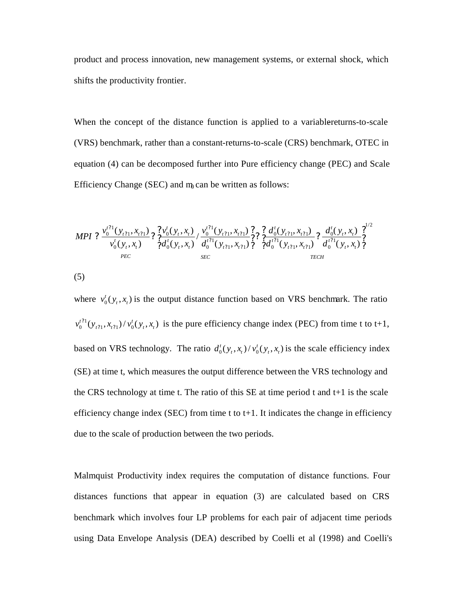product and process innovation, new management systems, or external shock, which shifts the productivity frontier.

When the concept of the distance function is applied to a variable-returns-to-scale (VRS) benchmark, rather than a constant-returns-to-scale (CRS) benchmark, OTEC in equation (4) can be decomposed further into Pure efficiency change (PEC) and Scale Efficiency Change (SEC) and  $m<sub>l</sub>$  can be written as follows:

$$
MPI ? \frac{v_0^{t^{21}}(y_{t^{21}}, x_{t^{21}})}{v_0^t(y_t, x_t)} ? \frac{? v_0^t(y_t, x_t)}{? d_0^t(y_t, x_t)} / \frac{v_0^{t^{21}}(y_{t^{21}}, x_{t^{21}})}{d_0^{t^{21}}(y_{t^{21}}, x_{t^{21}})} ? \frac{? d_0^t(y_{t^{21}}, x_{t^{21}})}{? d_0^{t^{21}}(y_{t^{21}}, x_{t^{21}})} ? \frac{d_0^t(y_t, x_t)}{d_0^{t^{21}}(y_t, x_t)} ?
$$
  
\n
$$
{}^{BEC}_{\text{BEC}}
$$

(5)

where  $v_0^t(y_t, x_t)$  $v_0^t(y_t, x_t)$  is the output distance function based on VRS benchmark. The ratio 1  $v_0^{t?1}(y_{t?1}, x_{t?1})/v_0^t(y_t, x_t)$  $v_0^{t?1}(y_{t?1}, x_{t?1}) / v_0^t(y_t, x_t)$  $\langle v_1, x_{i1} \rangle / v_0^t(y_i, x_i)$  is the pure efficiency change index (PEC) from time t to t+1, based on VRS technology. The ratio  $d_0^t(y_t, x_t) / v_0^t(y_t, x_t)$  $d_0^t(y_t, x_t) / v_0^t(y_t, x_t)$  is the scale efficiency index (SE) at time t, which measures the output difference between the VRS technology and the CRS technology at time t. The ratio of this SE at time period t and  $t+1$  is the scale efficiency change index (SEC) from time t to  $t+1$ . It indicates the change in efficiency due to the scale of production between the two periods.

Malmquist Productivity index requires the computation of distance functions. Four distances functions that appear in equation (3) are calculated based on CRS benchmark which involves four LP problems for each pair of adjacent time periods using Data Envelope Analysis (DEA) described by Coelli et al (1998) and Coelli's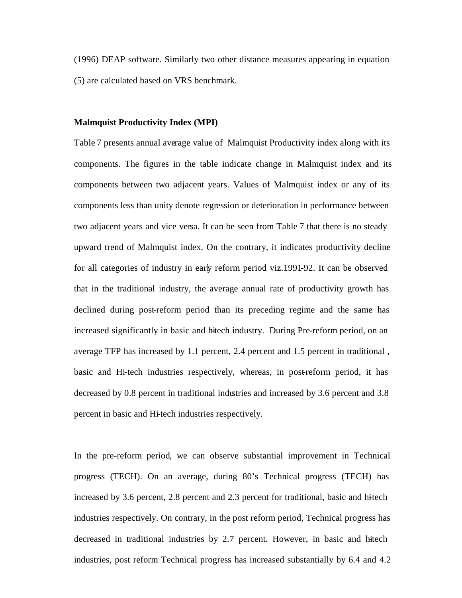(1996) DEAP software. Similarly two other distance measures appearing in equation (5) are calculated based on VRS benchmark.

#### **Malmquist Productivity Index (MPI)**

Table 7 presents annual average value of Malmquist Productivity index along with its components. The figures in the table indicate change in Malmquist index and its components between two adjacent years. Values of Malmquist index or any of its components less than unity denote regression or deterioration in performance between two adjacent years and vice versa. It can be seen from Table 7 that there is no steady upward trend of Malmquist index. On the contrary, it indicates productivity decline for all categories of industry in early reform period viz.1991-92. It can be observed that in the traditional industry, the average annual rate of productivity growth has declined during post-reform period than its preceding regime and the same has increased significantly in basic and hitech industry. During Pre-reform period, on an average TFP has increased by 1.1 percent, 2.4 percent and 1.5 percent in traditional , basic and Hi-tech industries respectively, whereas, in post-reform period, it has decreased by 0.8 percent in traditional industries and increased by 3.6 percent and 3.8 percent in basic and Hi-tech industries respectively.

In the pre-reform period, we can observe substantial improvement in Technical progress (TECH). On an average, during 80's Technical progress (TECH) has increased by 3.6 percent,  $2.8$  percent and  $2.3$  percent for traditional, basic and hitech industries respectively. On contrary, in the post reform period, Technical progress has decreased in traditional industries by 2.7 percent. However, in basic and hitech industries, post reform Technical progress has increased substantially by 6.4 and 4.2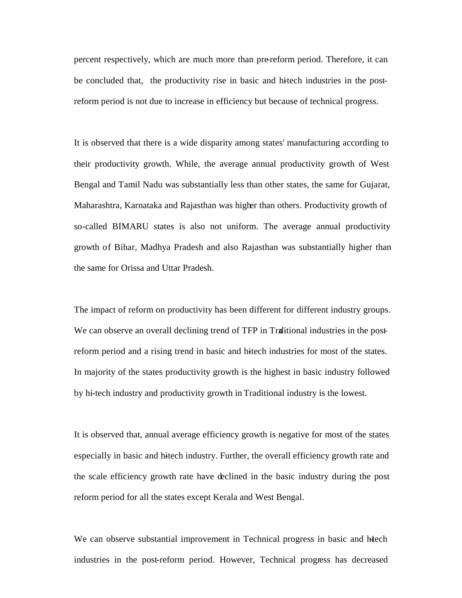percent respectively, which are much more than pre-reform period. Therefore, it can be concluded that, the productivity rise in basic and hitech industries in the postreform period is not due to increase in efficiency but because of technical progress.

It is observed that there is a wide disparity among states' manufacturing according to their productivity growth. While, the average annual productivity growth of West Bengal and Tamil Nadu was substantially less than other states, the same for Gujarat, Maharashtra, Karnataka and Rajasthan was higher than others. Productivity growth of so-called BIMARU states is also not uniform. The average annual productivity growth of Bihar, Madhya Pradesh and also Rajasthan was substantially higher than the same for Orissa and Uttar Pradesh.

The impact of reform on productivity has been different for different industry groups. We can observe an overall declining trend of TFP in Traditional industries in the postreform period and a rising trend in basic and hitech industries for most of the states. In majority of the states productivity growth is the highest in basic industry followed by hi-tech industry and productivity growth in Traditional industry is the lowest.

It is observed that, annual average efficiency growth is negative for most of the states especially in basic and hitech industry. Further, the overall efficiency growth rate and the scale efficiency growth rate have declined in the basic industry during the post reform period for all the states except Kerala and West Bengal.

We can observe substantial improvement in Technical progress in basic and hiech industries in the post-reform period. However, Technical progress has decreased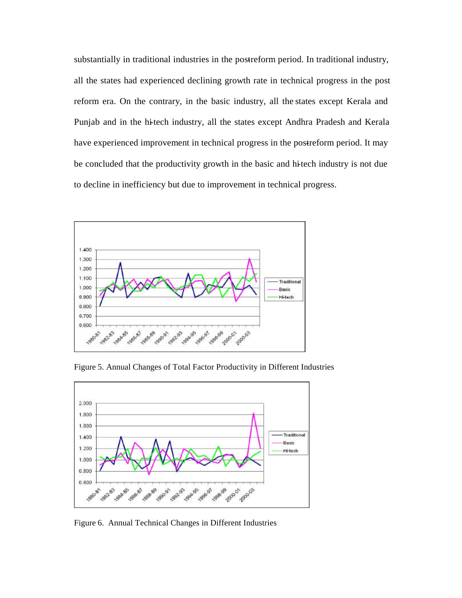substantially in traditional industries in the postreform period. In traditional industry, all the states had experienced declining growth rate in technical progress in the post reform era. On the contrary, in the basic industry, all the states except Kerala and Punjab and in the hi-tech industry, all the states except Andhra Pradesh and Kerala have experienced improvement in technical progress in the postreform period. It may be concluded that the productivity growth in the basic and hi-tech industry is not due to decline in inefficiency but due to improvement in technical progress.



Figure 5. Annual Changes of Total Factor Productivity in Different Industries



Figure 6. Annual Technical Changes in Different Industries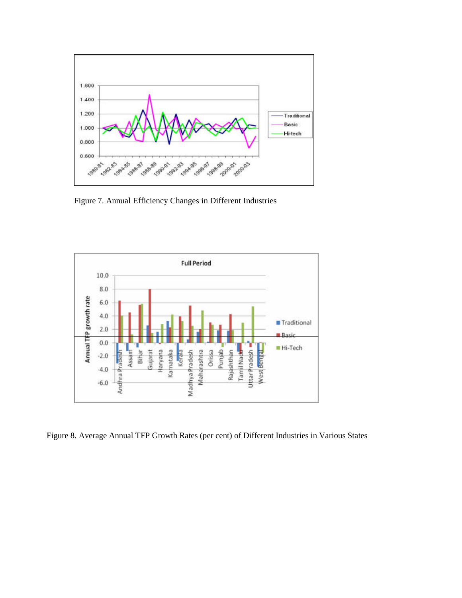

Figure 7. Annual Efficiency Changes in Different Industries



Figure 8. Average Annual TFP Growth Rates (per cent) of Different Industries in Various States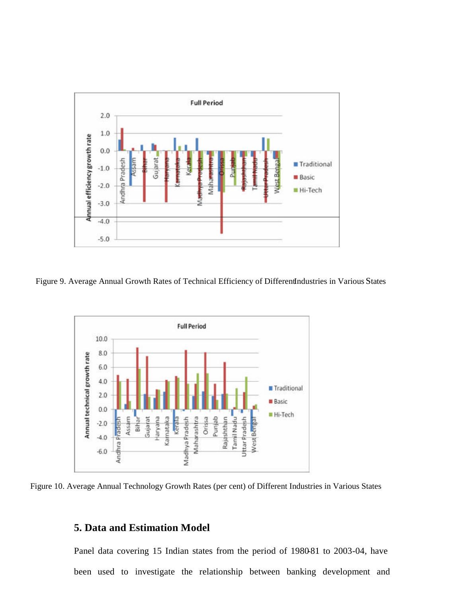

Figure 9. Average Annual Growth Rates of Technical Efficiency of DifferentIndustries in Various States



Figure 10. Average Annual Technology Growth Rates (per cent) of Different Industries in Various States

# **5. Data and Estimation Model**

Panel data covering 15 Indian states from the period of 1980-81 to 2003-04, have been used to investigate the relationship between banking development and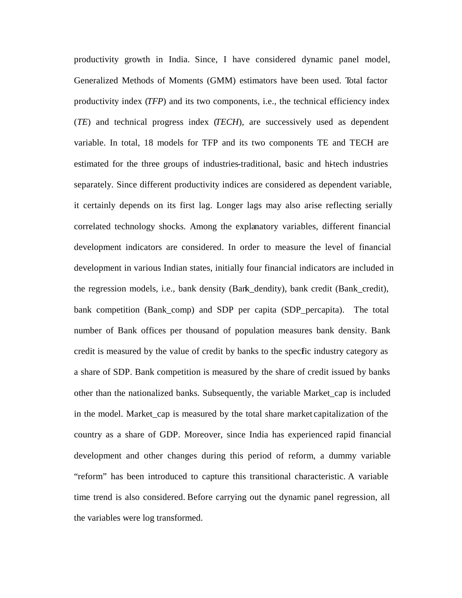productivity growth in India. Since, I have considered dynamic panel model, Generalized Methods of Moments (GMM) estimators have been used. Total factor productivity index (*TFP*) and its two components, i.e., the technical efficiency index (*TE*) and technical progress index (*TECH*), are successively used as dependent variable. In total, 18 models for TFP and its two components TE and TECH are estimated for the three groups of industries-traditional, basic and hi-tech industries separately. Since different productivity indices are considered as dependent variable, it certainly depends on its first lag. Longer lags may also arise reflecting serially correlated technology shocks. Among the explanatory variables, different financial development indicators are considered. In order to measure the level of financial development in various Indian states, initially four financial indicators are included in the regression models, i.e., bank density (Bank\_dendity), bank credit (Bank\_credit), bank competition (Bank\_comp) and SDP per capita (SDP\_percapita). The total number of Bank offices per thousand of population measures bank density. Bank credit is measured by the value of credit by banks to the specific industry category as a share of SDP. Bank competition is measured by the share of credit issued by banks other than the nationalized banks. Subsequently, the variable Market\_cap is included in the model. Market\_cap is measured by the total share market capitalization of the country as a share of GDP. Moreover, since India has experienced rapid financial development and other changes during this period of reform, a dummy variable "reform" has been introduced to capture this transitional characteristic. A variable time trend is also considered. Before carrying out the dynamic panel regression, all the variables were log transformed.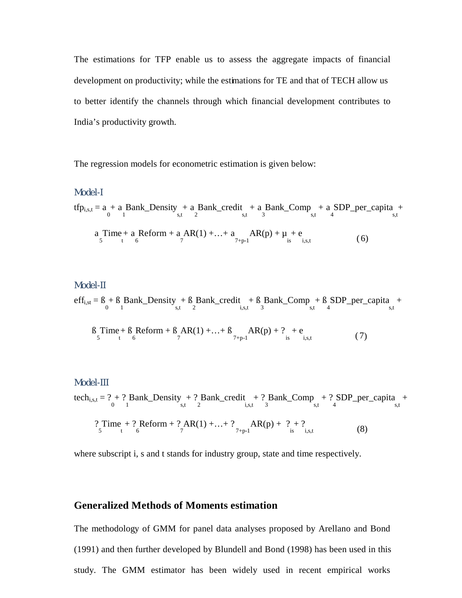The estimations for TFP enable us to assess the aggregate impacts of financial development on productivity; while the estimations for TE and that of TECH allow us to better identify the channels through which financial development contributes to India's productivity growth.

The regression models for econometric estimation is given below:

#### *Mode l-I*

$$
tfp_{i,s,t} = a + a\nBank_Density + a\nBank_Credit + a\nBank_Ccomp + a\nSDP_perr_Capita +\na\nTime + a\nReform + a\nAR(1) + ... + a\nAR(p) + \mu + e\n5\n1\n(6)
$$

#### $M$  $O$  $d$  $e$  $l$  $H$

 $\text{eff}_{i,st} = B_0 + B_1 \text{Bank\_Density}_{s,t} + B_2 \text{Bank\_credit}_{i,s,t} + B_3 \text{Bank\_Comp}_{s,t} + B_4 \text{SDP\_per\_capita}_{s,t} +$ 

$$
B_{5} \text{Time} + B_{6} \text{Reform} + B_{7} \text{AR}(1) + ... + B_{7+p-1} \text{AR}(p) + ?_{is} + e_{i,s,t}
$$
(7)

#### $M$  $O$  $d$  $e$  $l$  $H$  $H$

tech<sub>i,s,t</sub> = ? + ? Bank\_Density + ? Bank\_credit + ? Bank\_Comp + ? SDP\_per\_capita +  
\n
$$
?Time + ?6 Reform + ? AR(1) + ... + ?7+p-1 AR(p) + ? + ?\n(8)
$$
\n(8)

where subscript i, s and t stands for industry group, state and time respectively.

#### **Generalized Methods of Moments estimation**

The methodology of GMM for panel data analyses proposed by Arellano and Bond (1991) and then further developed by Blundell and Bond (1998) has been used in this study. The GMM estimator has been widely used in recent empirical works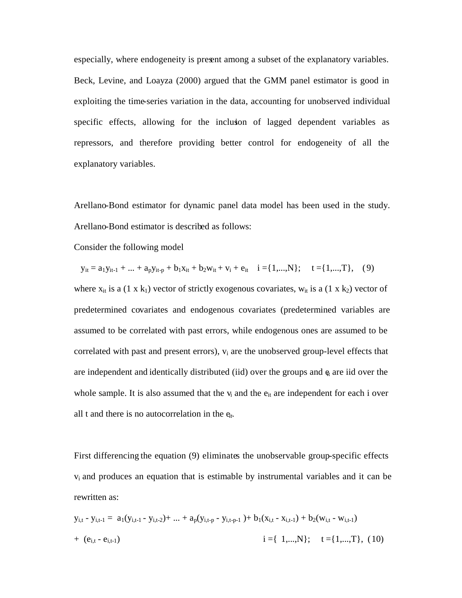especially, where endogeneity is present among a subset of the explanatory variables. Beck, Levine, and Loayza (2000) argued that the GMM panel estimator is good in exploiting the time-series variation in the data, accounting for unobserved individual specific effects, allowing for the inclusion of lagged dependent variables as repressors, and therefore providing better control for endogeneity of all the explanatory variables.

Arellano-Bond estimator for dynamic panel data model has been used in the study. Arellano-Bond estimator is described as follows:

Consider the following model

 $y_{it} = a_1 y_{it-1} + ... + a_p y_{it-p} + b_1 x_{it} + b_2 w_{it} + v_i + e_{it} \quad i = \{1,...,N\}; \quad t = \{1,...,T\},$  (9)

where  $x_{it}$  is a (1 x k<sub>1</sub>) vector of strictly exogenous covariates,  $w_{it}$  is a (1 x k<sub>2</sub>) vector of predetermined covariates and endogenous covariates (predetermined variables are assumed to be correlated with past errors, while endogenous ones are assumed to be correlated with past and present errors),  $v_i$  are the unobserved group-level effects that are independent and identically distributed (iid) over the groups and  $\epsilon_t$  are iid over the whole sample. It is also assumed that the  $v_i$  and the  $e_{it}$  are independent for each i over all t and there is no autocorrelation in the e*it.*

First differencing the equation (9) eliminates the unobservable group-specific effects vi and produces an equation that is estimable by instrumental variables and it can be rewritten as:

$$
y_{i,t} - y_{i,t-1} = a_1(y_{i,t-1} - y_{i,t-2}) + ... + a_p(y_{i,t-p} - y_{i,t-p-1}) + b_1(x_{i,t} - x_{i,t-1}) + b_2(w_{i,t} - w_{i,t-1})
$$
  
+ (e<sub>i,t</sub> - e<sub>i,t-1</sub>)  

$$
i = \{ 1,...,N \}; \quad t = \{ 1,...,T \}, (10)
$$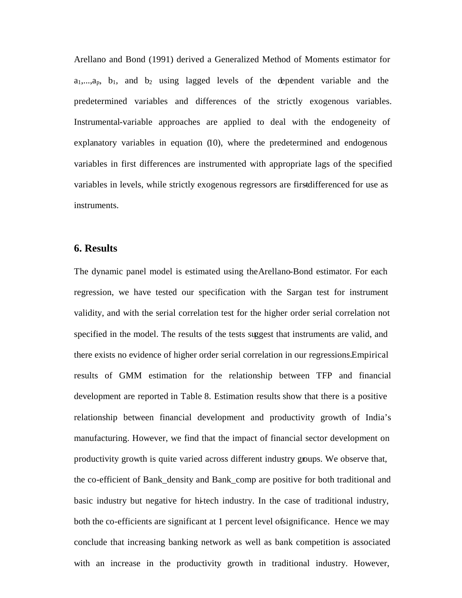Arellano and Bond (1991) derived a Generalized Method of Moments estimator for  $a_1,...,a_p$ ,  $b_1$ , and  $b_2$  using lagged levels of the dependent variable and the predetermined variables and differences of the strictly exogenous variables. Instrumental-variable approaches are applied to deal with the endogeneity of explanatory variables in equation (10), where the predetermined and endogenous variables in first differences are instrumented with appropriate lags of the specified variables in levels, while strictly exogenous regressors are first differenced for use as instruments.

### **6. Results**

The dynamic panel model is estimated using theArellano-Bond estimator. For each regression, we have tested our specification with the Sargan test for instrument validity, and with the serial correlation test for the higher order serial correlation not specified in the model. The results of the tests suggest that instruments are valid, and there exists no evidence of higher order serial correlation in our regressions.Empirical results of GMM estimation for the relationship between TFP and financial development are reported in Table 8. Estimation results show that there is a positive relationship between financial development and productivity growth of India's manufacturing. However, we find that the impact of financial sector development on productivity growth is quite varied across different industry groups. We observe that, the co-efficient of Bank\_density and Bank\_comp are positive for both traditional and basic industry but negative for hi-tech industry. In the case of traditional industry, both the co-efficients are significant at 1 percent level of significance. Hence we may conclude that increasing banking network as well as bank competition is associated with an increase in the productivity growth in traditional industry. However,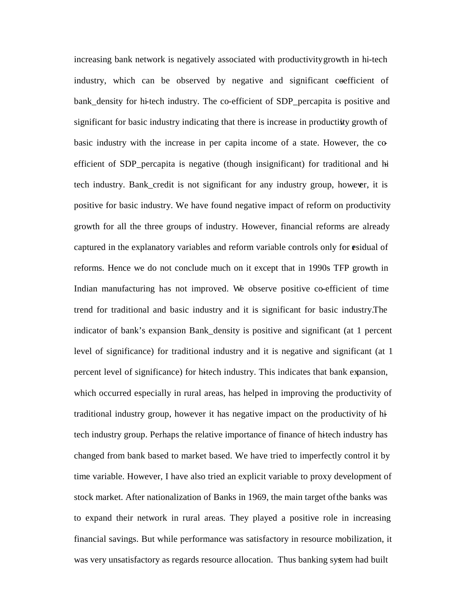increasing bank network is negatively associated with productivity growth in hi-tech industry, which can be observed by negative and significant coefficient of bank density for hi-tech industry. The co-efficient of SDP percapita is positive and significant for basic industry indicating that there is increase in productivity growth of basic industry with the increase in per capita income of a state. However, the coefficient of SDP\_percapita is negative (though insignificant) for traditional and hitech industry. Bank\_credit is not significant for any industry group, however, it is positive for basic industry. We have found negative impact of reform on productivity growth for all the three groups of industry. However, financial reforms are already captured in the explanatory variables and reform variable controls only for esidual of reforms. Hence we do not conclude much on it except that in 1990s TFP growth in Indian manufacturing has not improved. We observe positive co-efficient of time trend for traditional and basic industry and it is significant for basic industry.The indicator of bank's expansion Bank\_density is positive and significant (at 1 percent level of significance) for traditional industry and it is negative and significant (at 1 percent level of significance) for hitech industry. This indicates that bank expansion, which occurred especially in rural areas, has helped in improving the productivity of traditional industry group, however it has negative impact on the productivity of hitech industry group. Perhaps the relative importance of finance of hitech industry has changed from bank based to market based. We have tried to imperfectly control it by time variable. However, I have also tried an explicit variable to proxy development of stock market. After nationalization of Banks in 1969, the main target of the banks was to expand their network in rural areas. They played a positive role in increasing financial savings. But while performance was satisfactory in resource mobilization, it was very unsatisfactory as regards resource allocation. Thus banking system had built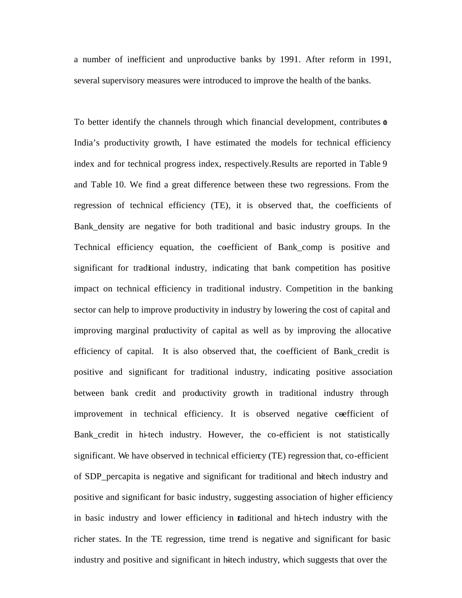a number of inefficient and unproductive banks by 1991. After reform in 1991, several supervisory measures were introduced to improve the health of the banks.

To better identify the channels through which financial development, contributes  $\phi$ India's productivity growth, I have estimated the models for technical efficiency index and for technical progress index, respectively.Results are reported in Table 9 and Table 10. We find a great difference between these two regressions. From the regression of technical efficiency (TE), it is observed that, the coefficients of Bank\_density are negative for both traditional and basic industry groups. In the Technical efficiency equation, the coefficient of Bank\_comp is positive and significant for traditional industry, indicating that bank competition has positive impact on technical efficiency in traditional industry. Competition in the banking sector can help to improve productivity in industry by lowering the cost of capital and improving marginal productivity of capital as well as by improving the allocative efficiency of capital. It is also observed that, the coefficient of Bank credit is positive and significant for traditional industry, indicating positive association between bank credit and productivity growth in traditional industry through improvement in technical efficiency. It is observed negative ceefficient of Bank\_credit in hi-tech industry. However, the co-efficient is not statistically significant. We have observed in technical efficiency (TE) regression that, co-efficient of SDP\_percapita is negative and significant for traditional and hi-tech industry and positive and significant for basic industry, suggesting association of higher efficiency in basic industry and lower efficiency in traditional and hi-tech industry with the richer states. In the TE regression, time trend is negative and significant for basic industry and positive and significant in hitech industry, which suggests that over the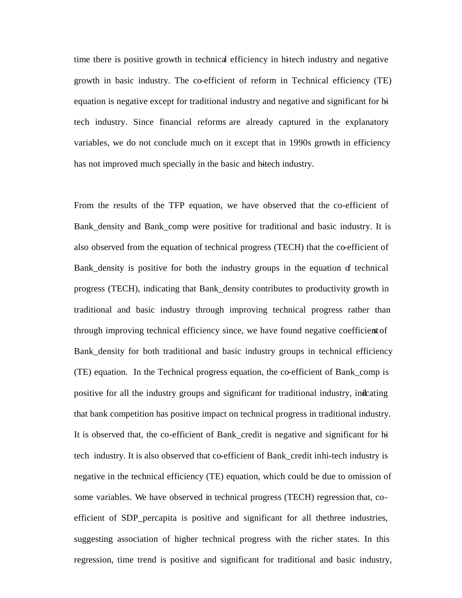time there is positive growth in technical efficiency in hitech industry and negative growth in basic industry. The co-efficient of reform in Technical efficiency (TE) equation is negative except for traditional industry and negative and significant for hitech industry. Since financial reforms are already captured in the explanatory variables, we do not conclude much on it except that in 1990s growth in efficiency has not improved much specially in the basic and hitech industry.

From the results of the TFP equation, we have observed that the co-efficient of Bank\_density and Bank\_comp were positive for traditional and basic industry. It is also observed from the equation of technical progress (TECH) that the co-efficient of Bank\_density is positive for both the industry groups in the equation of technical progress (TECH), indicating that Bank\_density contributes to productivity growth in traditional and basic industry through improving technical progress rather than through improving technical efficiency since, we have found negative coefficients of Bank\_density for both traditional and basic industry groups in technical efficiency (TE) equation. In the Technical progress equation, the co-efficient of Bank\_comp is positive for all the industry groups and significant for traditional industry, indicating that bank competition has positive impact on technical progress in traditional industry. It is observed that, the co-efficient of Bank credit is negative and significant for hitech industry. It is also observed that co-efficient of Bank\_credit in hi-tech industry is negative in the technical efficiency (TE) equation, which could be due to omission of some variables. We have observed in technical progress (TECH) regression that, coefficient of SDP\_percapita is positive and significant for all thethree industries, suggesting association of higher technical progress with the richer states. In this regression, time trend is positive and significant for traditional and basic industry,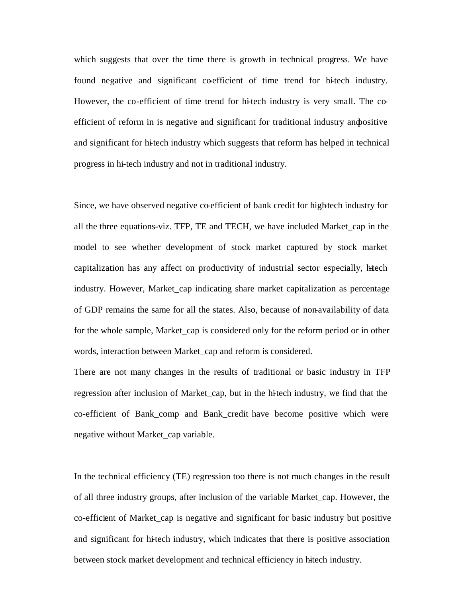which suggests that over the time there is growth in technical progress. We have found negative and significant coefficient of time trend for hitech industry. However, the co-efficient of time trend for hi-tech industry is very small. The coefficient of reform in is negative and significant for traditional industry and positive and significant for hi-tech industry which suggests that reform has helped in technical progress in hi-tech industry and not in traditional industry.

Since, we have observed negative co-efficient of bank credit for high-tech industry for all the three equations-viz. TFP, TE and TECH, we have included Market\_cap in the model to see whether development of stock market captured by stock market capitalization has any affect on productivity of industrial sector especially, hitech industry. However, Market\_cap indicating share market capitalization as percentage of GDP remains the same for all the states. Also, because of non-availability of data for the whole sample, Market cap is considered only for the reform period or in other words, interaction between Market\_cap and reform is considered.

There are not many changes in the results of traditional or basic industry in TFP regression after inclusion of Market\_cap, but in the hitech industry, we find that the co-efficient of Bank\_comp and Bank\_credit have become positive which were negative without Market\_cap variable.

In the technical efficiency (TE) regression too there is not much changes in the result of all three industry groups, after inclusion of the variable Market\_cap. However, the co-efficient of Market\_cap is negative and significant for basic industry but positive and significant for hitech industry, which indicates that there is positive association between stock market development and technical efficiency in hitech industry.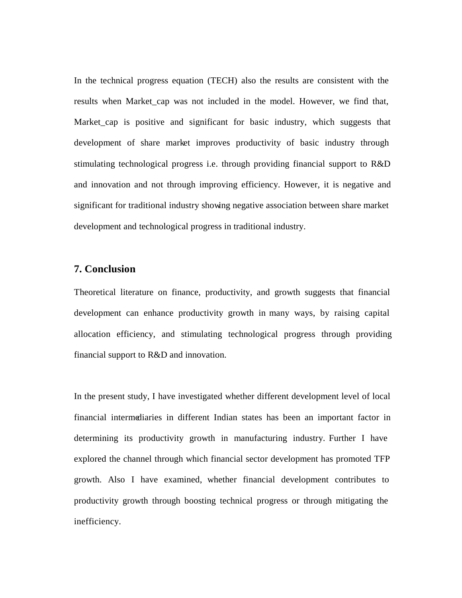In the technical progress equation (TECH) also the results are consistent with the results when Market cap was not included in the model. However, we find that, Market cap is positive and significant for basic industry, which suggests that development of share market improves productivity of basic industry through stimulating technological progress i.e. through providing financial support to R&D and innovation and not through improving efficiency. However, it is negative and significant for traditional industry showing negative association between share market development and technological progress in traditional industry.

## **7. Conclusion**

Theoretical literature on finance, productivity, and growth suggests that financial development can enhance productivity growth in many ways, by raising capital allocation efficiency, and stimulating technological progress through providing financial support to R&D and innovation.

In the present study, I have investigated whether different development level of local financial intermediaries in different Indian states has been an important factor in determining its productivity growth in manufacturing industry. Further I have explored the channel through which financial sector development has promoted TFP growth. Also I have examined, whether financial development contributes to productivity growth through boosting technical progress or through mitigating the inefficiency.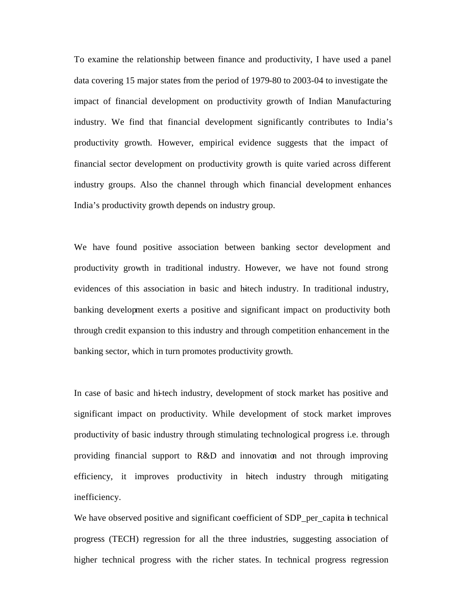To examine the relationship between finance and productivity, I have used a panel data covering 15 major states from the period of 1979-80 to 2003-04 to investigate the impact of financial development on productivity growth of Indian Manufacturing industry. We find that financial development significantly contributes to India's productivity growth. However, empirical evidence suggests that the impact of financial sector development on productivity growth is quite varied across different industry groups. Also the channel through which financial development enhances India's productivity growth depends on industry group.

We have found positive association between banking sector development and productivity growth in traditional industry. However, we have not found strong evidences of this association in basic and hitech industry. In traditional industry, banking development exerts a positive and significant impact on productivity both through credit expansion to this industry and through competition enhancement in the banking sector, which in turn promotes productivity growth.

In case of basic and hi-tech industry, development of stock market has positive and significant impact on productivity. While development of stock market improves productivity of basic industry through stimulating technological progress i.e. through providing financial support to R&D and innovation and not through improving efficiency, it improves productivity in hitech industry through mitigating inefficiency.

We have observed positive and significant coefficient of SDP\_per\_capita in technical progress (TECH) regression for all the three industries, suggesting association of higher technical progress with the richer states. In technical progress regression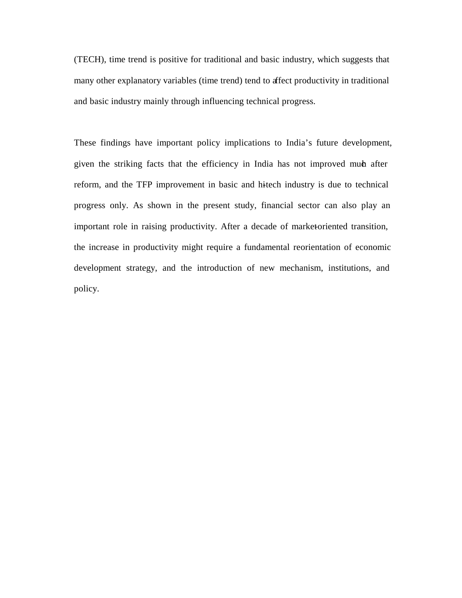(TECH), time trend is positive for traditional and basic industry, which suggests that many other explanatory variables (time trend) tend to affect productivity in traditional and basic industry mainly through influencing technical progress.

These findings have important policy implications to India's future development, given the striking facts that the efficiency in India has not improved much after reform, and the TFP improvement in basic and hitech industry is due to technical progress only. As shown in the present study, financial sector can also play an important role in raising productivity. After a decade of market-oriented transition, the increase in productivity might require a fundamental reorientation of economic development strategy, and the introduction of new mechanism, institutions, and policy.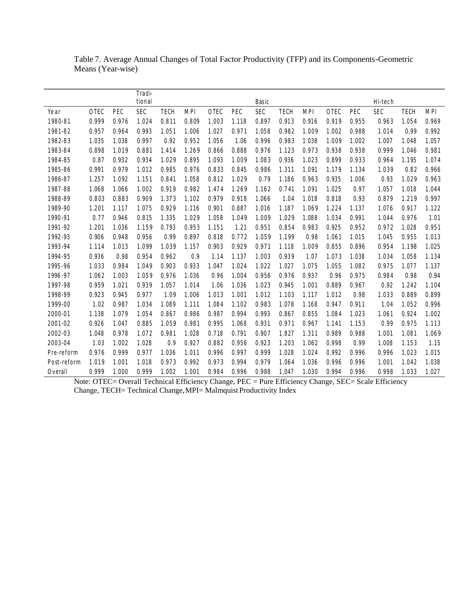Table 7. Average Annual Changes of Total Factor Productivity (TFP) and its Components -Geometric Means (Year-wise)

|             |          |        | I radi- |       |       |          |       |       |       |       |         |        |         |       |            |
|-------------|----------|--------|---------|-------|-------|----------|-------|-------|-------|-------|---------|--------|---------|-------|------------|
|             |          |        | tional  |       |       |          |       | Basic |       |       |         |        | Hi-tech |       |            |
| Year        | $0$ T EC | $P$ EC | SEC     | T ECH | MPI   | $0$ T EC | P EC  | SEC   | T ECH | MPI   | $0$ TEC | $P$ EC | SEC     | T ECH | <b>MPI</b> |
| 1980-81     | 0.999    | 0.976  | 1.024   | 0.811 | 0.809 | 1.003    | 1.118 | 0.897 | 0.913 | 0.916 | 0.919   | 0.955  | 0.963   | 1.054 | 0.969      |
| 1981-82     | 0.957    | 0.964  | 0.993   | 1.051 | 1.006 | 1.027    | 0.971 | 1.058 | 0.982 | 1.009 | 1.002   | 0.988  | 1.014   | 0.99  | 0.992      |
| 1982-83     | 1.035    | 1.038  | 0.997   | 0.92  | 0.952 | 1.056    | 1.06  | 0.996 | 0.983 | 1.038 | 1.009   | 1.002  | 1.007   | 1.048 | 1.057      |
| 1983-84     | 0.898    | 1.019  | 0.881   | 1.414 | 1.269 | 0.866    | 0.888 | 0.976 | 1.123 | 0.973 | 0.938   | 0.938  | 0.999   | 1.046 | 0.981      |
| 1984-85     | 0.87     | 0.932  | 0.934   | 1.029 | 0.895 | 1.093    | 1.009 | 1.083 | 0.936 | 1.023 | 0.899   | 0.933  | 0.964   | 1.195 | 1.074      |
| 1985-86     | 0.991    | 0.979  | 1.012   | 0.985 | 0.976 | 0.833    | 0.845 | 0.986 | 1.311 | 1.091 | 1.179   | 1.134  | 1.039   | 0.82  | 0.966      |
| 1986-87     | 1.257    | 1.092  | 1.151   | 0.841 | 1.058 | 0.812    | 1.029 | 0.79  | 1.186 | 0.963 | 0.935   | 1.006  | 0.93    | 1.029 | 0.963      |
| 1987-88     | 1.068    | 1.066  | 1.002   | 0.919 | 0.982 | 1.474    | 1.269 | 1.162 | 0.741 | 1.091 | 1.025   | 0.97   | 1.057   | 1.018 | 1.044      |
| 1988-89     | 0.803    | 0.883  | 0.909   | 1.373 | 1.102 | 0.979    | 0.918 | 1.066 | 1.04  | 1.018 | 0.818   | 0.93   | 0.879   | 1.219 | 0.997      |
| 1989-90     | 1.201    | 1.117  | 1.075   | 0.929 | 1.116 | 0.901    | 0.887 | 1.016 | 1.187 | 1.069 | 1.224   | 1.137  | 1.076   | 0.917 | 1.122      |
| 1990-91     | 0.77     | 0.946  | 0.815   | 1.335 | 1.029 | 1.058    | 1.049 | 1.009 | 1.029 | 1.088 | 1.034   | 0.991  | 1.044   | 0.976 | 1.01       |
| 1991-92     | 1.201    | 1.036  | 1.159   | 0.793 | 0.953 | 1.151    | 1.21  | 0.951 | 0.854 | 0.983 | 0.925   | 0.952  | 0.972   | 1.028 | 0.951      |
| 1992-93     | 0.906    | 0.948  | 0.956   | 0.99  | 0.897 | 0.818    | 0.772 | 1.059 | 1.199 | 0.98  | 1.061   | 1.015  | 1.045   | 0.955 | 1.013      |
| 1993-94     | 1.114    | 1.013  | 1.099   | 1.039 | 1.157 | 0.903    | 0.929 | 0.971 | 1.118 | 1.009 | 0.855   | 0.896  | 0.954   | 1.198 | 1.025      |
| 1994-95     | 0.936    | 0.98   | 0.954   | 0.962 | 0.9   | 1.14     | 1.137 | 1.003 | 0.939 | 1.07  | 1.073   | 1.038  | 1.034   | 1.058 | 1.134      |
| 1995-96     | 1.033    | 0.984  | 1.049   | 0.903 | 0.933 | 1.047    | 1.024 | 1.022 | 1.027 | 1.075 | 1.055   | 1.082  | 0.975   | 1.077 | 1.137      |
| 1996-97     | 1.062    | 1.003  | 1.059   | 0.976 | 1.036 | 0.96     | 1.004 | 0.956 | 0.976 | 0.937 | 0.96    | 0.975  | 0.984   | 0.98  | 0.94       |
| 1997-98     | 0.959    | 1.021  | 0.939   | 1.057 | 1.014 | 1.06     | 1.036 | 1.023 | 0.945 | 1.001 | 0.889   | 0.967  | 0.92    | 1.242 | 1.104      |
| 1998-99     | 0.923    | 0.945  | 0.977   | 1.09  | 1.006 | 1.013    | 1.001 | 1.012 | 1.103 | 1.117 | 1.012   | 0.98   | 1.033   | 0.889 | 0.899      |
| 1999-00     | 1.02     | 0.987  | 1.034   | 1.089 | 1.111 | 1.084    | 1.102 | 0.983 | 1.078 | 1.168 | 0.947   | 0.911  | 1.04    | 1.052 | 0.996      |
| 2000-01     | 1.138    | 1.079  | 1.054   | 0.867 | 0.986 | 0.987    | 0.994 | 0.993 | 0.867 | 0.855 | 1.084   | 1.023  | 1.061   | 0.924 | 1.002      |
| 2001-02     | 0.926    | 1.047  | 0.885   | 1.059 | 0.981 | 0.995    | 1.068 | 0.931 | 0.971 | 0.967 | 1.141   | 1.153  | 0.99    | 0.975 | 1.113      |
| 2002-03     | 1.048    | 0.978  | 1.072   | 0.981 | 1.028 | 0.718    | 0.791 | 0.907 | 1.827 | 1.311 | 0.989   | 0.988  | 1.001   | 1.081 | 1.069      |
| 2003-04     | 1.03     | 1.002  | 1.028   | 0.9   | 0.927 | 0.882    | 0.956 | 0.923 | 1.203 | 1.062 | 0.998   | 0.99   | 1.008   | 1.153 | 1.15       |
| P re-reform | 0.976    | 0.999  | 0.977   | 1.036 | 1.011 | 0.996    | 0.997 | 0.999 | 1.028 | 1.024 | 0.992   | 0.996  | 0.996   | 1.023 | 1.015      |
| Post-reform | 1.019    | 1.001  | 1.018   | 0.973 | 0.992 | 0.973    | 0.994 | 0.979 | 1.064 | 1.036 | 0.996   | 0.996  | 1.001   | 1.042 | 1.038      |
| l verall    | 0.999    | 1.000  | 0.999   | 1.002 | 1.001 | 0.984    | 0.996 | 0.988 | 1.047 | 1.030 | 0.994   | 0.996  | 0.998   | 1.033 | 1.027      |

Note: OTEC= Overall Technical Efficiency Change, PEC = Pure Efficiency Change, SEC= Scale Efficiency Change, TECH= Technical Change, MPI= Malmquist Productivity Index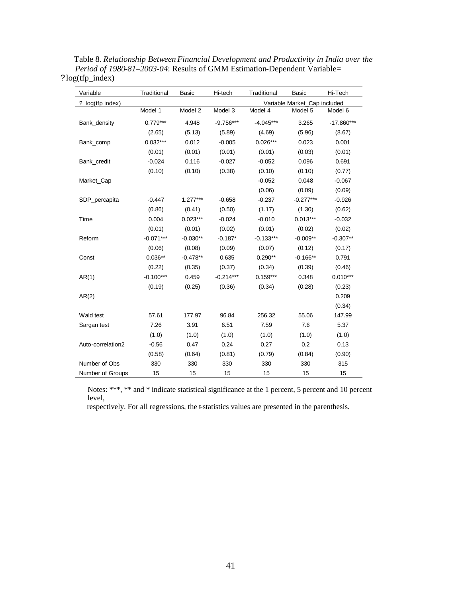| Variable          | Traditional | <b>Basic</b> | Hi-tech     | Traditional | Basic                        | Hi-Tech      |
|-------------------|-------------|--------------|-------------|-------------|------------------------------|--------------|
| ? log(tfp index)  |             |              |             |             | Variable Market_Cap included |              |
|                   | Model 1     | Model 2      | Model 3     | Model 4     | Model 5                      | Model 6      |
| Bank_density      | $0.779***$  | 4.948        | $-9.756***$ | $-4.045***$ | 3.265                        | $-17.860***$ |
|                   | (2.65)      | (5.13)       | (5.89)      | (4.69)      | (5.96)                       | (8.67)       |
| Bank_comp         | $0.032***$  | 0.012        | $-0.005$    | $0.026***$  | 0.023                        | 0.001        |
|                   | (0.01)      | (0.01)       | (0.01)      | (0.01)      | (0.03)                       | (0.01)       |
| Bank_credit       | $-0.024$    | 0.116        | $-0.027$    | $-0.052$    | 0.096                        | 0.691        |
|                   | (0.10)      | (0.10)       | (0.38)      | (0.10)      | (0.10)                       | (0.77)       |
| Market_Cap        |             |              |             | $-0.052$    | 0.048                        | $-0.067$     |
|                   |             |              |             | (0.06)      | (0.09)                       | (0.09)       |
| SDP_percapita     | $-0.447$    | $1.277***$   | $-0.658$    | $-0.237$    | $-0.277***$                  | $-0.926$     |
|                   | (0.86)      | (0.41)       | (0.50)      | (1.17)      | (1.30)                       | (0.62)       |
| Time              | 0.004       | $0.023***$   | $-0.024$    | $-0.010$    | $0.013***$                   | $-0.032$     |
|                   | (0.01)      | (0.01)       | (0.02)      | (0.01)      | (0.02)                       | (0.02)       |
| Reform            | $-0.071***$ | $-0.030**$   | $-0.187*$   | $-0.133***$ | $-0.009**$                   | $-0.307**$   |
|                   | (0.06)      | (0.08)       | (0.09)      | (0.07)      | (0.12)                       | (0.17)       |
| Const             | $0.036**$   | $-0.478**$   | 0.635       | $0.290**$   | $-0.166**$                   | 0.791        |
|                   | (0.22)      | (0.35)       | (0.37)      | (0.34)      | (0.39)                       | (0.46)       |
| AR(1)             | $-0.100***$ | 0.459        | $-0.214***$ | $0.159***$  | 0.348                        | $0.010***$   |
|                   | (0.19)      | (0.25)       | (0.36)      | (0.34)      | (0.28)                       | (0.23)       |
| AR(2)             |             |              |             |             |                              | 0.209        |
|                   |             |              |             |             |                              | (0.34)       |
| Wald test         | 57.61       | 177.97       | 96.84       | 256.32      | 55.06                        | 147.99       |
| Sargan test       | 7.26        | 3.91         | 6.51        | 7.59        | 7.6                          | 5.37         |
|                   | (1.0)       | (1.0)        | (1.0)       | (1.0)       | (1.0)                        | (1.0)        |
| Auto-correlation2 | $-0.56$     | 0.47         | 0.24        | 0.27        | 0.2                          | 0.13         |
|                   | (0.58)      | (0.64)       | (0.81)      | (0.79)      | (0.84)                       | (0.90)       |
| Number of Obs     | 330         | 330          | 330         | 330         | 330                          | 315          |
| Number of Groups  | 15          | 15           | 15          | 15          | 15                           | 15           |

Table 8. *Relationship Between Financial Development and Productivity in India over the Period of 1980-81–2003-04*: Results of GMM Estimation-Dependent Variable= ?log(tfp\_index)

Notes: \*\*\*, \*\* and \* indicate statistical significance at the 1 percent, 5 percent and 10 percent level,

respectively. For all regressions, the t-statistics values are presented in the parenthesis.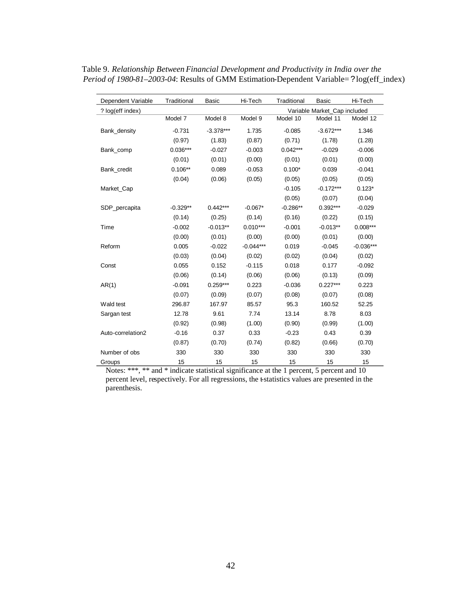| Dependent Variable | Traditional | Basic       | Hi-Tech     | Traditional | Basic                        | Hi-Tech     |
|--------------------|-------------|-------------|-------------|-------------|------------------------------|-------------|
| ? log(eff index)   |             |             |             |             | Variable Market_Cap included |             |
|                    | Model 7     | Model 8     | Model 9     | Model 10    | Model 11                     | Model 12    |
| Bank_density       | $-0.731$    | $-3.378***$ | 1.735       | $-0.085$    | $-3.672***$                  | 1.346       |
|                    | (0.97)      | (1.83)      | (0.87)      | (0.71)      | (1.78)                       | (1.28)      |
| Bank_comp          | $0.036***$  | $-0.027$    | $-0.003$    | $0.042***$  | $-0.029$                     | $-0.006$    |
|                    | (0.01)      | (0.01)      | (0.00)      | (0.01)      | (0.01)                       | (0.00)      |
| Bank_credit        | $0.106**$   | 0.089       | $-0.053$    | $0.100*$    | 0.039                        | $-0.041$    |
|                    | (0.04)      | (0.06)      | (0.05)      | (0.05)      | (0.05)                       | (0.05)      |
| Market_Cap         |             |             |             | $-0.105$    | $-0.172***$                  | $0.123*$    |
|                    |             |             |             | (0.05)      | (0.07)                       | (0.04)      |
| SDP_percapita      | $-0.329**$  | $0.442***$  | $-0.067*$   | $-0.286**$  | $0.392***$                   | $-0.029$    |
|                    | (0.14)      | (0.25)      | (0.14)      | (0.16)      | (0.22)                       | (0.15)      |
| Time               | $-0.002$    | $-0.013**$  | $0.010***$  | $-0.001$    | $-0.013**$                   | $0.008***$  |
|                    | (0.00)      | (0.01)      | (0.00)      | (0.00)      | (0.01)                       | (0.00)      |
| Reform             | 0.005       | $-0.022$    | $-0.044***$ | 0.019       | $-0.045$                     | $-0.036***$ |
|                    | (0.03)      | (0.04)      | (0.02)      | (0.02)      | (0.04)                       | (0.02)      |
| Const              | 0.055       | 0.152       | $-0.115$    | 0.018       | 0.177                        | $-0.092$    |
|                    | (0.06)      | (0.14)      | (0.06)      | (0.06)      | (0.13)                       | (0.09)      |
| AR(1)              | $-0.091$    | $0.259***$  | 0.223       | $-0.036$    | $0.227***$                   | 0.223       |
|                    | (0.07)      | (0.09)      | (0.07)      | (0.08)      | (0.07)                       | (0.08)      |
| Wald test          | 296.87      | 167.97      | 85.57       | 95.3        | 160.52                       | 52.25       |
| Sargan test        | 12.78       | 9.61        | 7.74        | 13.14       | 8.78                         | 8.03        |
|                    | (0.92)      | (0.98)      | (1.00)      | (0.90)      | (0.99)                       | (1.00)      |
| Auto-correlation2  | $-0.16$     | 0.37        | 0.33        | $-0.23$     | 0.43                         | 0.39        |
|                    | (0.87)      | (0.70)      | (0.74)      | (0.82)      | (0.66)                       | (0.70)      |
| Number of obs      | 330         | 330         | 330         | 330         | 330                          | 330         |
| Groups             | 15          | 15          | 15          | 15          | 15                           | 15          |

 Table 9. *Relationship Between Financial Development and Productivity in India over the Period of 1980-81–2003-04*: Results of GMM Estimation-Dependent Variable=?log(eff\_index)

Notes: \*\*\*, \*\* and \* indicate statistical significance at the 1 percent, 5 percent and 10 percent level, respectively. For all regressions, the t-statistics values are presented in the parenthesis.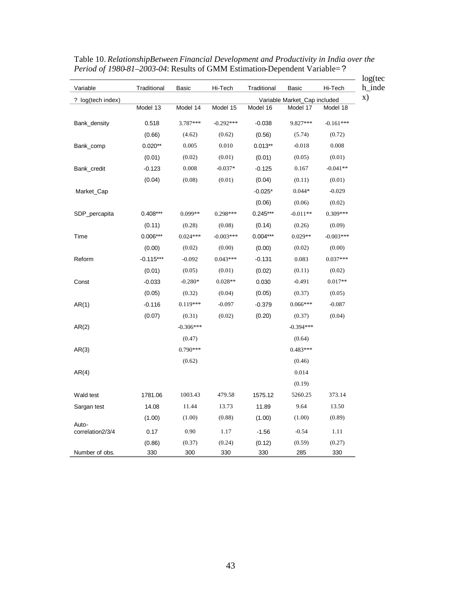| Variable                  | Traditional | Basic       | Hi-Tech     | Traditional | Basic                        | Hi-Tech     |
|---------------------------|-------------|-------------|-------------|-------------|------------------------------|-------------|
| ? log(tech index)         |             |             |             |             | Variable Market_Cap included |             |
|                           | Model 13    | Model 14    | Model 15    | Model 16    | Model 17                     | Model 18    |
| Bank_density              | 0.518       | 3.787***    | $-0.292***$ | $-0.038$    | 9.827***                     | $-0.161***$ |
|                           | (0.66)      | (4.62)      | (0.62)      | (0.56)      | (5.74)                       | (0.72)      |
| Bank_comp                 | $0.020**$   | 0.005       | 0.010       | $0.013**$   | $-0.018$                     | 0.008       |
|                           | (0.01)      | (0.02)      | (0.01)      | (0.01)      | (0.05)                       | (0.01)      |
| Bank_credit               | $-0.123$    | 0.008       | $-0.037*$   | $-0.125$    | 0.167                        | $-0.041**$  |
|                           | (0.04)      | (0.08)      | (0.01)      | (0.04)      | (0.11)                       | (0.01)      |
| Market_Cap                |             |             |             | $-0.025*$   | $0.044*$                     | $-0.029$    |
|                           |             |             |             | (0.06)      | (0.06)                       | (0.02)      |
| SDP_percapita             | $0.408***$  | $0.099**$   | 0.298***    | $0.245***$  | $-0.011**$                   | $0.309***$  |
|                           | (0.11)      | (0.28)      | (0.08)      | (0.14)      | (0.26)                       | (0.09)      |
| Time                      | $0.006***$  | $0.024***$  | $-0.003***$ | $0.004***$  | $0.029**$                    | $-0.003***$ |
|                           | (0.00)      | (0.02)      | (0.00)      | (0.00)      | (0.02)                       | (0.00)      |
| Reform                    | $-0.115***$ | $-0.092$    | $0.043***$  | $-0.131$    | 0.083                        | $0.037***$  |
|                           | (0.01)      | (0.05)      | (0.01)      | (0.02)      | (0.11)                       | (0.02)      |
| Const                     | $-0.033$    | $-0.280*$   | $0.028**$   | 0.030       | $-0.491$                     | $0.017**$   |
|                           | (0.05)      | (0.32)      | (0.04)      | (0.05)      | (0.37)                       | (0.05)      |
| AR(1)                     | $-0.116$    | $0.119***$  | $-0.097$    | $-0.379$    | $0.066***$                   | $-0.087$    |
|                           | (0.07)      | (0.31)      | (0.02)      | (0.20)      | (0.37)                       | (0.04)      |
| AR(2)                     |             | $-0.306***$ |             |             | $-0.394***$                  |             |
|                           |             | (0.47)      |             |             | (0.64)                       |             |
| AR(3)                     |             | $0.790***$  |             |             | $0.483***$                   |             |
|                           |             | (0.62)      |             |             | (0.46)                       |             |
| AR(4)                     |             |             |             |             | 0.014                        |             |
|                           |             |             |             |             | (0.19)                       |             |
| Wald test                 | 1781.06     | 1003.43     | 479.58      | 1575.12     | 5260.25                      | 373.14      |
| Sargan test               | 14.08       | 11.44       | 13.73       | 11.89       | 9.64                         | 13.50       |
|                           | (1.00)      | (1.00)      | (0.88)      | (1.00)      | (1.00)                       | (0.89)      |
| Auto-<br>correlation2/3/4 | 0.17        | 0.90        | 1.17        | $-1.56$     | $-0.54$                      | 1.11        |
|                           | (0.86)      | (0.37)      | (0.24)      | (0.12)      | (0.59)                       | (0.27)      |
| Number of obs.            | 330         | 300         | 330         | 330         | 285                          | 330         |

Table 10. *RelationshipBetween Financial Development and Productivity in India over the Period of 1980-81–2003-04*: Results of GMM Estimation-Dependent Variable=?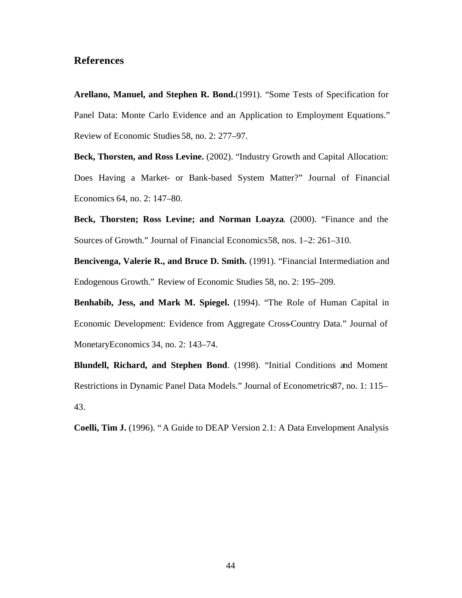# **References**

**Arellano, Manuel, and Stephen R. Bond.**(1991). "Some Tests of Specification for Panel Data: Monte Carlo Evidence and an Application to Employment Equations." Review of Economic Studies 58, no. 2: 277–97.

**Beck, Thorsten, and Ross Levine.** (2002). "Industry Growth and Capital Allocation: Does Having a Market- or Bank-based System Matter?" Journal of Financial Economics 64, no. 2: 147–80.

**Beck, Thorsten; Ross Levine; and Norman Loayza**. (2000). "Finance and the Sources of Growth." Journal of Financial Economics58, nos. 1–2: 261–310.

**Bencivenga, Valerie R., and Bruce D. Smith.** (1991). "Financial Intermediation and Endogenous Growth." Review of Economic Studies 58, no. 2: 195–209.

**Benhabib, Jess, and Mark M. Spiegel.** (1994). "The Role of Human Capital in Economic Development: Evidence from Aggregate Cross-Country Data." Journal of MonetaryEconomics 34, no. 2: 143–74.

**Blundell, Richard, and Stephen Bond**. (1998). "Initial Conditions and Moment Restrictions in Dynamic Panel Data Models." Journal of Econometrics87, no. 1: 115– 43.

**Coelli, Tim J.** (1996). "A Guide to DEAP Version 2.1: A Data Envelopment Analysis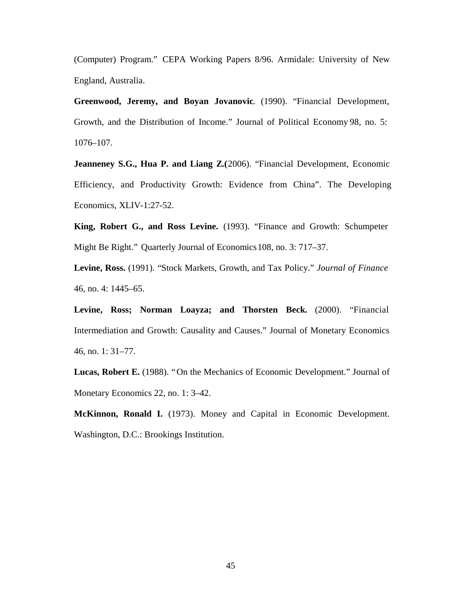(Computer) Program." CEPA Working Papers 8/96. Armidale: University of New England, Australia.

**Greenwood, Jeremy, and Boyan Jovanovic**. (1990). "Financial Development, Growth, and the Distribution of Income." Journal of Political Economy 98, no. 5: 1076–107.

**Jeanneney S.G., Hua P. and Liang Z.**(2006). "Financial Development, Economic Efficiency, and Productivity Growth: Evidence from China". The Developing Economics, XLIV-1:27-52.

**King, Robert G., and Ross Levine.** (1993). "Finance and Growth: Schumpeter Might Be Right." Quarterly Journal of Economics108, no. 3: 717–37.

**Levine, Ross.** (1991). "Stock Markets, Growth, and Tax Policy." *Journal of Finance*  46, no. 4: 1445–65.

Levine, Ross; Norman Loayza; and Thorsten Beck. (2000). "Financial Intermediation and Growth: Causality and Causes." Journal of Monetary Economics 46, no. 1: 31–77.

**Lucas, Robert E.** (1988). "On the Mechanics of Economic Development." Journal of Monetary Economics 22, no. 1: 3–42.

**McKinnon, Ronald I.** (1973). Money and Capital in Economic Development. Washington, D.C.: Brookings Institution.